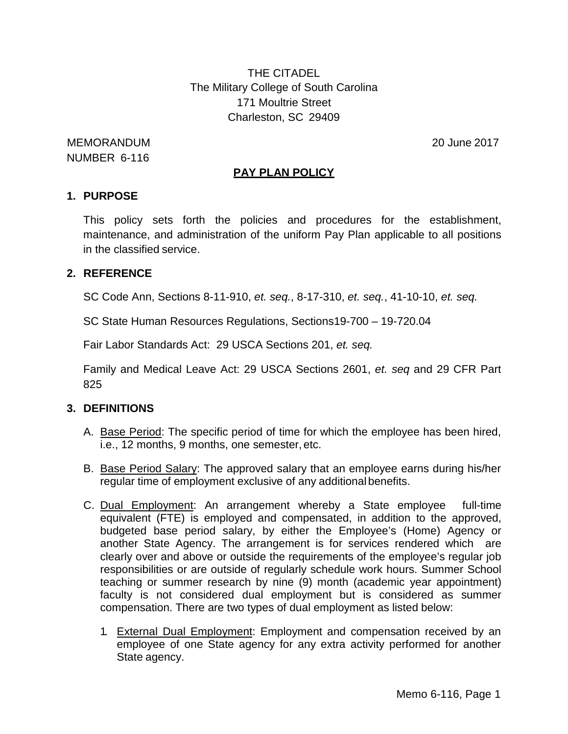THE CITADEL The Military College of South Carolina 171 Moultrie Street Charleston, SC 29409

MEMORANDUM 20 June 2017 NUMBER 6-116

# **PAY PLAN POLICY**

### **1. PURPOSE**

This policy sets forth the policies and procedures for the establishment, maintenance, and administration of the uniform Pay Plan applicable to all positions in the classified service.

## **2. REFERENCE**

SC Code Ann, Sections 8-11-910, *et. seq.*, 8-17-310, *et. seq.*, 41-10-10, *et. seq.*

SC State Human Resources Regulations, Sections19-700 – 19-720.04

Fair Labor Standards Act: 29 USCA Sections 201, *et. seq.*

Family and Medical Leave Act: 29 USCA Sections 2601, *et. seq* and 29 CFR Part 825

## **3. DEFINITIONS**

- A. Base Period: The specific period of time for which the employee has been hired, i.e., 12 months, 9 months, one semester, etc.
- B. Base Period Salary: The approved salary that an employee earns during his/her regular time of employment exclusive of any additionalbenefits.
- C. Dual Employment: An arrangement whereby a State employee full-time equivalent (FTE) is employed and compensated, in addition to the approved, budgeted base period salary, by either the Employee's (Home) Agency or another State Agency. The arrangement is for services rendered which are clearly over and above or outside the requirements of the employee's regular job responsibilities or are outside of regularly schedule work hours. Summer School teaching or summer research by nine (9) month (academic year appointment) faculty is not considered dual employment but is considered as summer compensation. There are two types of dual employment as listed below:
	- 1. External Dual Employment: Employment and compensation received by an employee of one State agency for any extra activity performed for another State agency.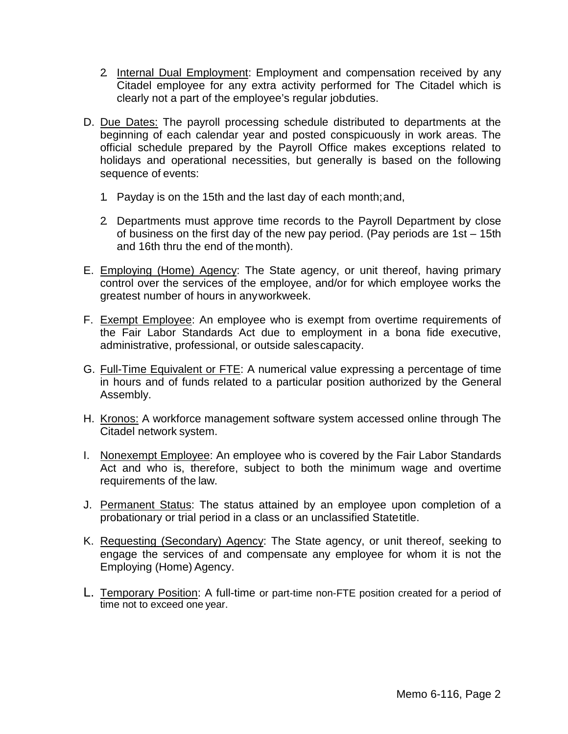- 2. Internal Dual Employment: Employment and compensation received by any Citadel employee for any extra activity performed for The Citadel which is clearly not a part of the employee's regular jobduties.
- D. Due Dates: The payroll processing schedule distributed to departments at the beginning of each calendar year and posted conspicuously in work areas. The official schedule prepared by the Payroll Office makes exceptions related to holidays and operational necessities, but generally is based on the following sequence of events:
	- 1. Payday is on the 15th and the last day of each month;and,
	- 2. Departments must approve time records to the Payroll Department by close of business on the first day of the new pay period. (Pay periods are 1st – 15th and 16th thru the end of the month).
- E. Employing (Home) Agency: The State agency, or unit thereof, having primary control over the services of the employee, and/or for which employee works the greatest number of hours in anyworkweek.
- F. Exempt Employee: An employee who is exempt from overtime requirements of the Fair Labor Standards Act due to employment in a bona fide executive, administrative, professional, or outside salescapacity.
- G. Full-Time Equivalent or FTE: A numerical value expressing a percentage of time in hours and of funds related to a particular position authorized by the General Assembly.
- H. Kronos: A workforce management software system accessed online through The Citadel network system.
- I. Nonexempt Employee: An employee who is covered by the Fair Labor Standards Act and who is, therefore, subject to both the minimum wage and overtime requirements of the law.
- J. Permanent Status: The status attained by an employee upon completion of a probationary or trial period in a class or an unclassified Statetitle.
- K. Requesting (Secondary) Agency: The State agency, or unit thereof, seeking to engage the services of and compensate any employee for whom it is not the Employing (Home) Agency.
- L. Temporary Position: A full-time or part-time non-FTE position created for a period of time not to exceed one year.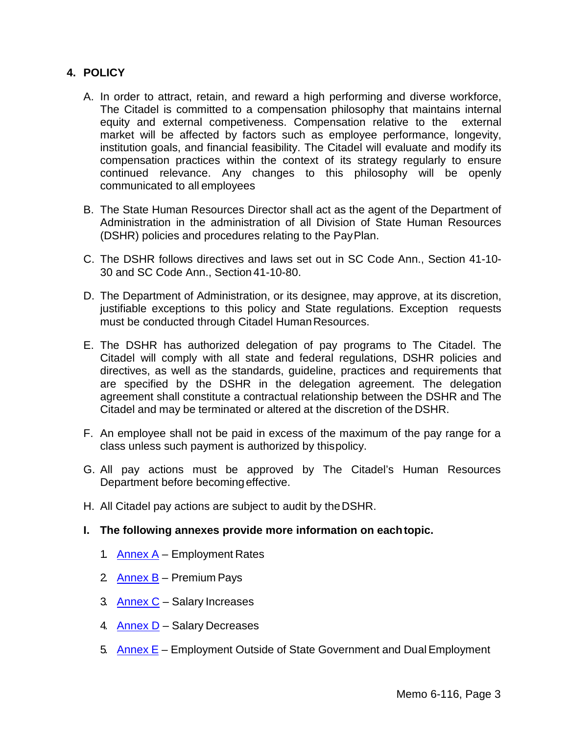# **4. POLICY**

- A. In order to attract, retain, and reward a high performing and diverse workforce, The Citadel is committed to a compensation philosophy that maintains internal equity and external competiveness. Compensation relative to the external market will be affected by factors such as employee performance, longevity, institution goals, and financial feasibility. The Citadel will evaluate and modify its compensation practices within the context of its strategy regularly to ensure continued relevance. Any changes to this philosophy will be openly communicated to all employees
- B. The State Human Resources Director shall act as the agent of the Department of Administration in the administration of all Division of State Human Resources (DSHR) policies and procedures relating to the PayPlan.
- C. The DSHR follows directives and laws set out in SC Code Ann., Section 41-10- 30 and SC Code Ann., Section 41-10-80.
- D. The Department of Administration, or its designee, may approve, at its discretion, justifiable exceptions to this policy and State regulations. Exception requests must be conducted through Citadel Human Resources.
- E. The DSHR has authorized delegation of pay programs to The Citadel. The Citadel will comply with all state and federal regulations, DSHR policies and directives, as well as the standards, guideline, practices and requirements that are specified by the DSHR in the delegation agreement. The delegation agreement shall constitute a contractual relationship between the DSHR and The Citadel and may be terminated or altered at the discretion of the DSHR.
- F. An employee shall not be paid in excess of the maximum of the pay range for a class unless such payment is authorized by thispolicy.
- G. All pay actions must be approved by The Citadel's Human Resources Department before becomingeffective.
- H. All Citadel pay actions are subject to audit by theDSHR.
- **I. The following annexes provide more information on eachtopic.**
	- 1. Annex  $A -$  Employment Rates
	- 2 [Annex B](#page-6-0) Premium Pays
	- 3. Annex  $C$  Salary Increases
	- 4. **[Annex D](#page-13-0)** Salary Decreases
	- 5. [Annex](#page-15-0) E Employment Outside of State Government and Dual Employment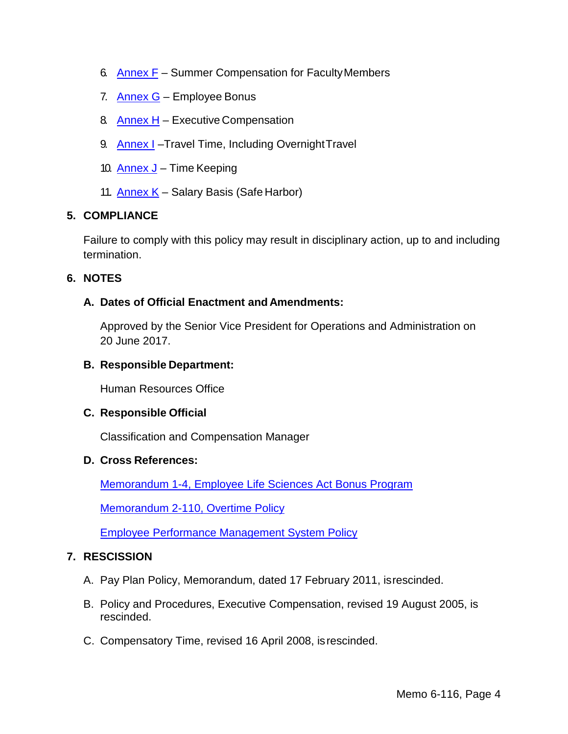- 6. [Annex F](#page-20-0) Summer Compensation for FacultyMembers
- 7. [Annex G](#page-23-0) Employee Bonus
- 8 [Annex H](#page-26-0) Executive Compensation
- 9. [Annex I](#page-28-0)-Travel Time, Including Overnight Travel
- 10. [Annex J](#page-29-0) Time Keeping
- 11. [Annex K](#page-31-0) Salary Basis (Safe Harbor)

## **5. COMPLIANCE**

Failure to comply with this policy may result in disciplinary action, up to and including termination.

### **6. NOTES**

### **A. Dates of Official Enactment and Amendments:**

Approved by the Senior Vice President for Operations and Administration on 20 June 2017.

#### **B. Responsible Department:**

Human Resources Office

### **C. Responsible Official**

Classification and Compensation Manager

#### **D. Cross References:**

[Memorandum 1-4, Employee Life Sciences Act Bonus Program](http://www.citadel.edu/root/images/policies/1-004-employee-life-sciences-act-bonus-program.pdf)

[Memorandum 2-110, Overtime Policy](http://www.citadel.edu/root/images/policies/overtime-policy.pdf)

[Employee Performance Management System Policy](http://www.citadel.edu/root/images/policies/employee-performance-management-system-policy.pdf)

### **7. RESCISSION**

- A. Pay Plan Policy, Memorandum, dated 17 February 2011, isrescinded.
- B. Policy and Procedures, Executive Compensation, revised 19 August 2005, is rescinded.
- C. Compensatory Time, revised 16 April 2008, isrescinded.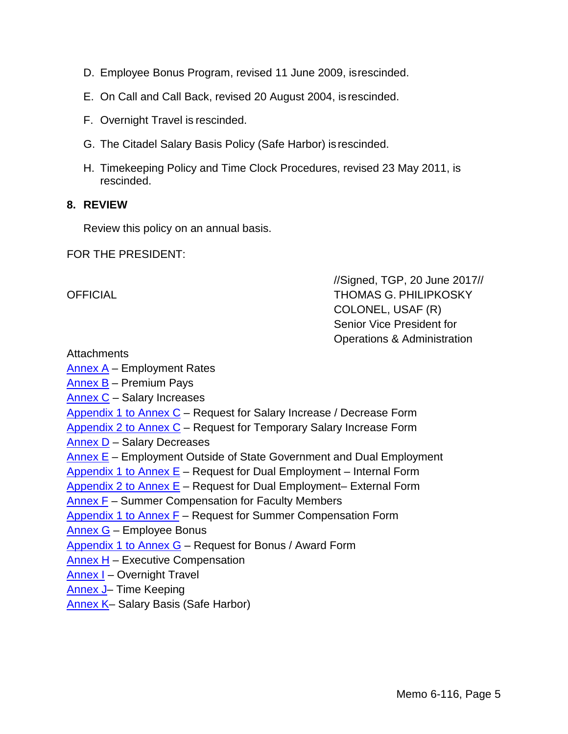- D. Employee Bonus Program, revised 11 June 2009, isrescinded.
- E. On Call and Call Back, revised 20 August 2004, is rescinded.
- F. Overnight Travel is rescinded.
- G. The Citadel Salary Basis Policy (Safe Harbor) isrescinded.
- H. Timekeeping Policy and Time Clock Procedures, revised 23 May 2011, is rescinded.

### **8. REVIEW**

Review this policy on an annual basis.

FOR THE PRESIDENT:

//Signed, TGP, 20 June 2017// OFFICIAL THOMAS G. PHILIPKOSKY COLONEL, USAF (R) Senior Vice President for Operations & Administration

Attachments

- [Annex A](#page-5-0) Employment Rates
- [Annex B](#page-6-0) Premium Pays
- [Annex C](#page-7-0) Salary Increases
- [Appendix 1 to Annex C](#page-11-0) Request for Salary Increase / Decrease Form
- [Appendix 2 to Annex C](#page-12-0) Request for Temporary Salary Increase Form
- [Annex D](#page-13-0) Salary Decreases
- [Annex E](#page-15-0) Employment Outside of State Government and Dual Employment
- [Appendix 1 to Annex E](#page-18-0) Request for Dual Employment Internal Form
- [Appendix 2 to Annex E](#page-19-0) Request for Dual Employment– External Form
- [Annex F](#page-20-0) Summer Compensation for Faculty Members
- [Appendix 1 to Annex F](#page-22-0) Request for Summer Compensation Form
- [Annex G](#page-23-0) Employee Bonus
- [Appendix 1 to Annex G](#page-25-0) Request for Bonus / Award Form
- [Annex H](#page-26-0) Executive Compensation
- [Annex I](#page-28-0) Overnight Travel
- [Annex J–](#page-29-0) Time Keeping
- Annex K- Salary Basis (Safe Harbor)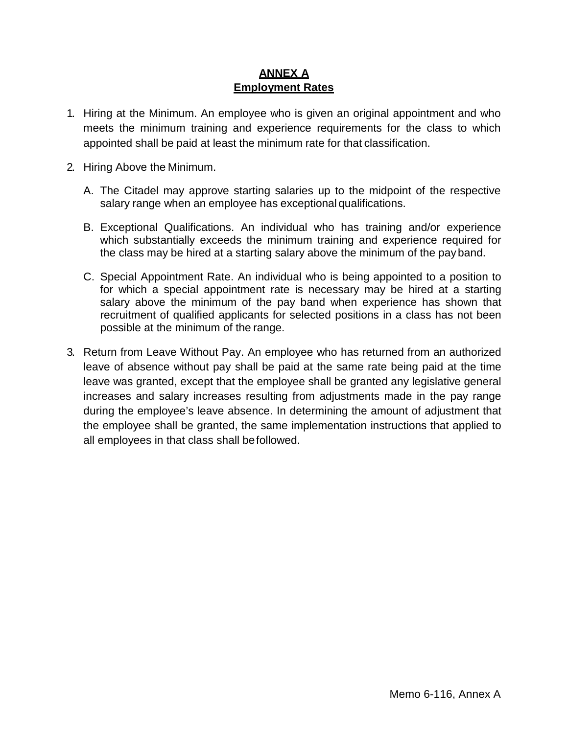# **ANNEX A Employment Rates**

- <span id="page-5-0"></span>1. Hiring at the Minimum. An employee who is given an original appointment and who meets the minimum training and experience requirements for the class to which appointed shall be paid at least the minimum rate for that classification.
- 2. Hiring Above the Minimum.
	- A. The Citadel may approve starting salaries up to the midpoint of the respective salary range when an employee has exceptional qualifications.
	- B. Exceptional Qualifications. An individual who has training and/or experience which substantially exceeds the minimum training and experience required for the class may be hired at a starting salary above the minimum of the pay band.
	- C. Special Appointment Rate. An individual who is being appointed to a position to for which a special appointment rate is necessary may be hired at a starting salary above the minimum of the pay band when experience has shown that recruitment of qualified applicants for selected positions in a class has not been possible at the minimum of the range.
- 3. Return from Leave Without Pay. An employee who has returned from an authorized leave of absence without pay shall be paid at the same rate being paid at the time leave was granted, except that the employee shall be granted any legislative general increases and salary increases resulting from adjustments made in the pay range during the employee's leave absence. In determining the amount of adjustment that the employee shall be granted, the same implementation instructions that applied to all employees in that class shall befollowed.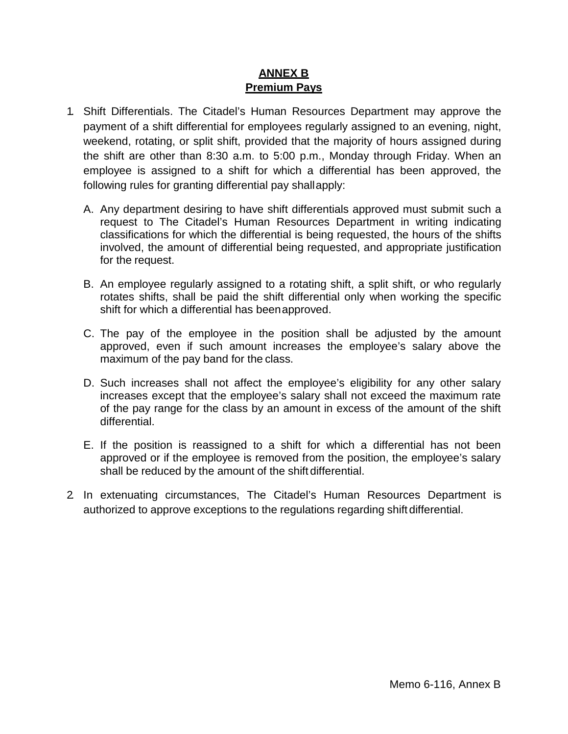## **ANNEX B Premium Pays**

- <span id="page-6-0"></span>1. Shift Differentials. The Citadel's Human Resources Department may approve the payment of a shift differential for employees regularly assigned to an evening, night, weekend, rotating, or split shift, provided that the majority of hours assigned during the shift are other than 8:30 a.m. to 5:00 p.m., Monday through Friday. When an employee is assigned to a shift for which a differential has been approved, the following rules for granting differential pay shallapply:
	- A. Any department desiring to have shift differentials approved must submit such a request to The Citadel's Human Resources Department in writing indicating classifications for which the differential is being requested, the hours of the shifts involved, the amount of differential being requested, and appropriate justification for the request.
	- B. An employee regularly assigned to a rotating shift, a split shift, or who regularly rotates shifts, shall be paid the shift differential only when working the specific shift for which a differential has beenapproved.
	- C. The pay of the employee in the position shall be adjusted by the amount approved, even if such amount increases the employee's salary above the maximum of the pay band for the class.
	- D. Such increases shall not affect the employee's eligibility for any other salary increases except that the employee's salary shall not exceed the maximum rate of the pay range for the class by an amount in excess of the amount of the shift differential.
	- E. If the position is reassigned to a shift for which a differential has not been approved or if the employee is removed from the position, the employee's salary shall be reduced by the amount of the shift differential.
- 2. In extenuating circumstances, The Citadel's Human Resources Department is authorized to approve exceptions to the regulations regarding shift differential.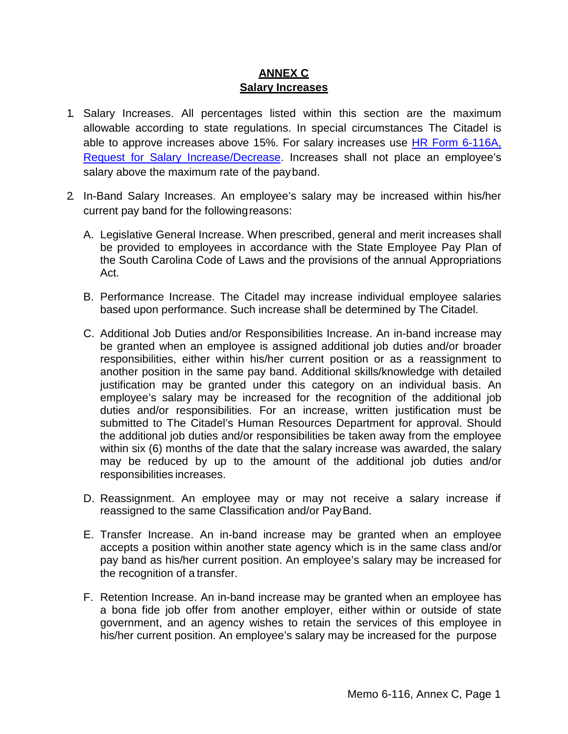# **ANNEX C Salary Increases**

- <span id="page-7-0"></span>1. Salary Increases. All percentages listed within this section are the maximum allowable according to state regulations. In special circumstances The Citadel is able to approve increases above 15%. For salary increases use [HR Form 6-116A,](http://www.citadel.edu/root/images/human_resources/forms/reqpayincdecr.pdf) [Request for Salary Increase/Decrease.](http://www.citadel.edu/root/images/human_resources/forms/reqpayincdecr.pdf) Increases shall not place an employee's salary above the maximum rate of the payband.
- 2. In-Band Salary Increases. An employee's salary may be increased within his/her current pay band for the followingreasons:
	- A. Legislative General Increase. When prescribed, general and merit increases shall be provided to employees in accordance with the State Employee Pay Plan of the South Carolina Code of Laws and the provisions of the annual Appropriations Act.
	- B. Performance Increase. The Citadel may increase individual employee salaries based upon performance. Such increase shall be determined by The Citadel.
	- C. Additional Job Duties and/or Responsibilities Increase. An in-band increase may be granted when an employee is assigned additional job duties and/or broader responsibilities, either within his/her current position or as a reassignment to another position in the same pay band. Additional skills/knowledge with detailed justification may be granted under this category on an individual basis. An employee's salary may be increased for the recognition of the additional job duties and/or responsibilities. For an increase, written justification must be submitted to The Citadel's Human Resources Department for approval. Should the additional job duties and/or responsibilities be taken away from the employee within six (6) months of the date that the salary increase was awarded, the salary may be reduced by up to the amount of the additional job duties and/or responsibilities increases.
	- D. Reassignment. An employee may or may not receive a salary increase if reassigned to the same Classification and/or PayBand.
	- E. Transfer Increase. An in-band increase may be granted when an employee accepts a position within another state agency which is in the same class and/or pay band as his/her current position. An employee's salary may be increased for the recognition of a transfer.
	- F. Retention Increase. An in-band increase may be granted when an employee has a bona fide job offer from another employer, either within or outside of state government, and an agency wishes to retain the services of this employee in his/her current position. An employee's salary may be increased for the purpose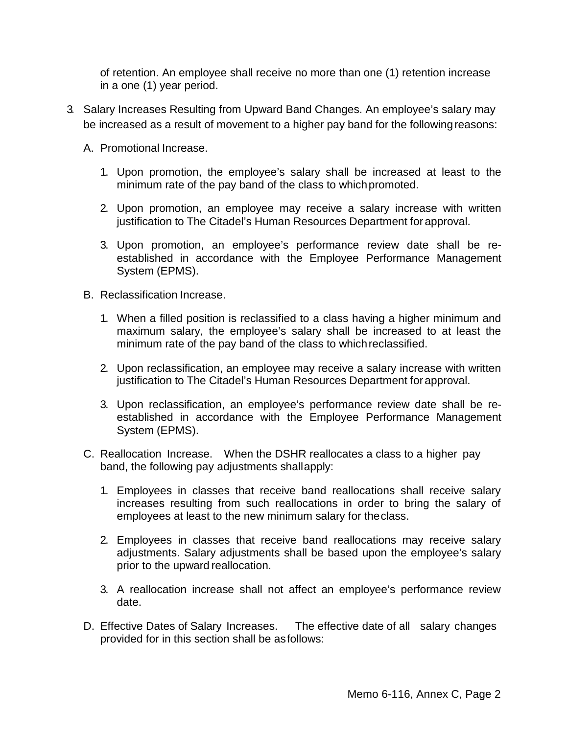of retention. An employee shall receive no more than one (1) retention increase in a one (1) year period.

- 3. Salary Increases Resulting from Upward Band Changes. An employee's salary may be increased as a result of movement to a higher pay band for the followingreasons:
	- A. Promotional Increase.
		- 1. Upon promotion, the employee's salary shall be increased at least to the minimum rate of the pay band of the class to whichpromoted.
		- 2. Upon promotion, an employee may receive a salary increase with written justification to The Citadel's Human Resources Department for approval.
		- 3. Upon promotion, an employee's performance review date shall be reestablished in accordance with the Employee Performance Management System (EPMS).
	- B. Reclassification Increase.
		- 1. When a filled position is reclassified to a class having a higher minimum and maximum salary, the employee's salary shall be increased to at least the minimum rate of the pay band of the class to whichreclassified.
		- 2. Upon reclassification, an employee may receive a salary increase with written justification to The Citadel's Human Resources Department forapproval.
		- 3. Upon reclassification, an employee's performance review date shall be reestablished in accordance with the Employee Performance Management System (EPMS).
	- C. Reallocation Increase. When the DSHR reallocates a class to a higher pay band, the following pay adjustments shallapply:
		- 1. Employees in classes that receive band reallocations shall receive salary increases resulting from such reallocations in order to bring the salary of employees at least to the new minimum salary for theclass.
		- 2. Employees in classes that receive band reallocations may receive salary adjustments. Salary adjustments shall be based upon the employee's salary prior to the upward reallocation.
		- 3. A reallocation increase shall not affect an employee's performance review date.
	- D. Effective Dates of Salary Increases. The effective date of all salary changes provided for in this section shall be asfollows: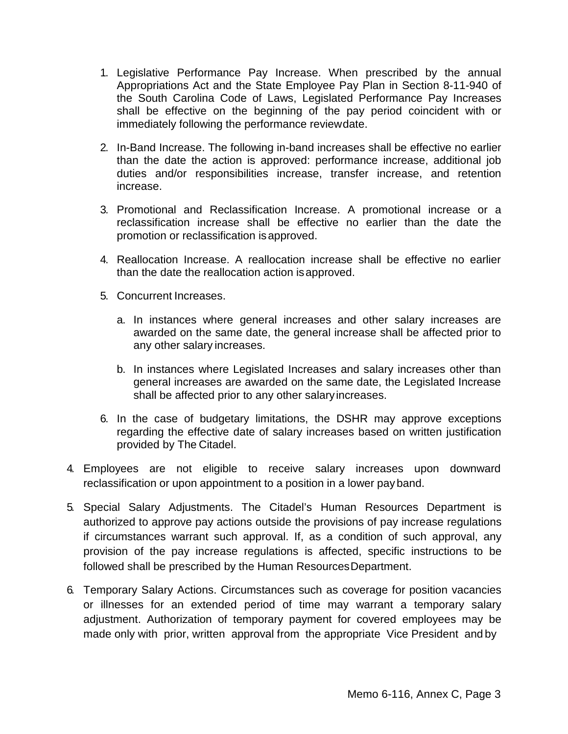- 1. Legislative Performance Pay Increase. When prescribed by the annual Appropriations Act and the State Employee Pay Plan in Section 8-11-940 of the South Carolina Code of Laws, Legislated Performance Pay Increases shall be effective on the beginning of the pay period coincident with or immediately following the performance reviewdate.
- 2. In-Band Increase. The following in-band increases shall be effective no earlier than the date the action is approved: performance increase, additional job duties and/or responsibilities increase, transfer increase, and retention increase.
- 3. Promotional and Reclassification Increase. A promotional increase or a reclassification increase shall be effective no earlier than the date the promotion or reclassification isapproved.
- 4. Reallocation Increase. A reallocation increase shall be effective no earlier than the date the reallocation action isapproved.
- 5. Concurrent Increases.
	- a. In instances where general increases and other salary increases are awarded on the same date, the general increase shall be affected prior to any other salary increases.
	- b. In instances where Legislated Increases and salary increases other than general increases are awarded on the same date, the Legislated Increase shall be affected prior to any other salaryincreases.
- 6. In the case of budgetary limitations, the DSHR may approve exceptions regarding the effective date of salary increases based on written justification provided by The Citadel.
- 4. Employees are not eligible to receive salary increases upon downward reclassification or upon appointment to a position in a lower pay band.
- 5. Special Salary Adjustments. The Citadel's Human Resources Department is authorized to approve pay actions outside the provisions of pay increase regulations if circumstances warrant such approval. If, as a condition of such approval, any provision of the pay increase regulations is affected, specific instructions to be followed shall be prescribed by the Human ResourcesDepartment.
- 6. Temporary Salary Actions. Circumstances such as coverage for position vacancies or illnesses for an extended period of time may warrant a temporary salary adjustment. Authorization of temporary payment for covered employees may be made only with prior, written approval from the appropriate Vice President and by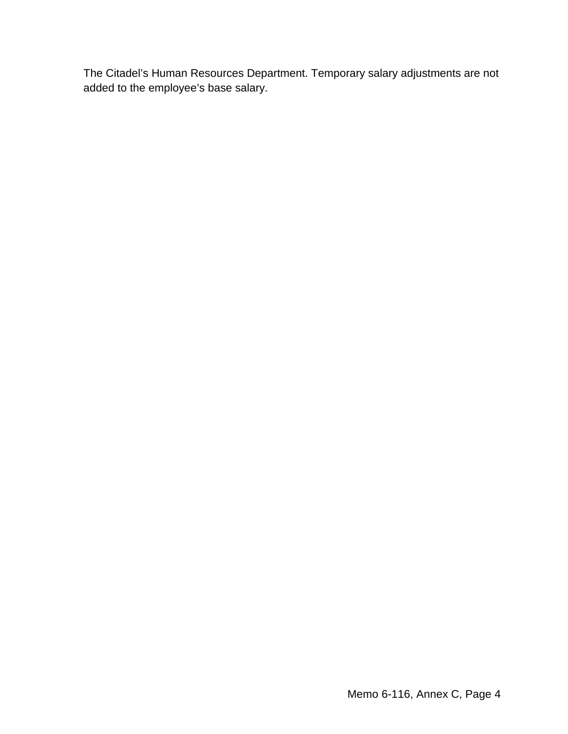The Citadel's Human Resources Department. Temporary salary adjustments are not added to the employee's base salary.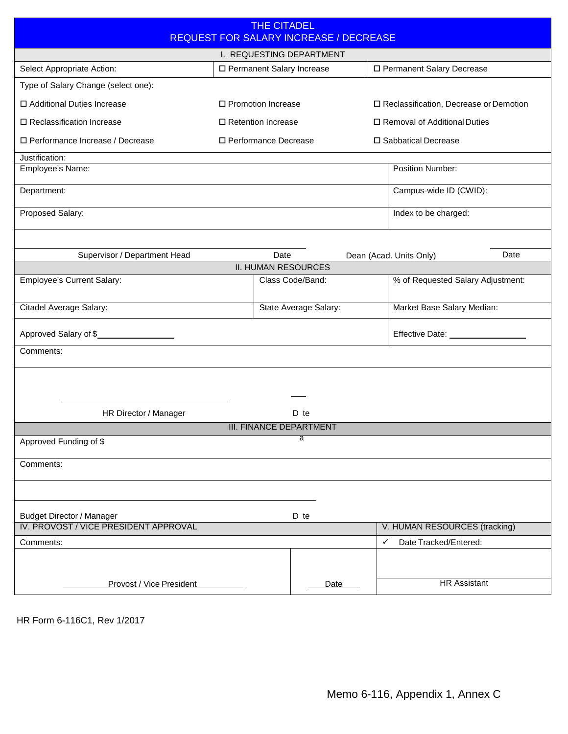|                                                                                      |                             | <b>THE CITADEL</b>   |                                               |                                          |                                   |      |  |
|--------------------------------------------------------------------------------------|-----------------------------|----------------------|-----------------------------------------------|------------------------------------------|-----------------------------------|------|--|
|                                                                                      |                             |                      | <b>REQUEST FOR SALARY INCREASE / DECREASE</b> |                                          |                                   |      |  |
|                                                                                      |                             |                      | I. REQUESTING DEPARTMENT                      |                                          |                                   |      |  |
| Select Appropriate Action:                                                           | □ Permanent Salary Increase |                      |                                               | □ Permanent Salary Decrease              |                                   |      |  |
| Type of Salary Change (select one):                                                  |                             |                      |                                               |                                          |                                   |      |  |
| □ Additional Duties Increase                                                         | □ Promotion Increase        |                      |                                               | □ Reclassification, Decrease or Demotion |                                   |      |  |
| □ Reclassification Increase                                                          |                             | □ Retention Increase |                                               |                                          | □ Removal of Additional Duties    |      |  |
| □ Performance Increase / Decrease<br>□ Performance Decrease<br>□ Sabbatical Decrease |                             |                      |                                               |                                          |                                   |      |  |
| Justification:                                                                       |                             |                      |                                               |                                          |                                   |      |  |
| Employee's Name:                                                                     |                             |                      |                                               |                                          | Position Number:                  |      |  |
| Department:                                                                          |                             |                      |                                               |                                          | Campus-wide ID (CWID):            |      |  |
| Proposed Salary:                                                                     |                             |                      |                                               |                                          | Index to be charged:              |      |  |
|                                                                                      |                             |                      |                                               |                                          |                                   |      |  |
| Supervisor / Department Head                                                         |                             | Date                 |                                               |                                          | Dean (Acad. Units Only)           | Date |  |
|                                                                                      |                             |                      | <b>II. HUMAN RESOURCES</b>                    |                                          |                                   |      |  |
| Employee's Current Salary:                                                           |                             |                      | Class Code/Band:                              |                                          | % of Requested Salary Adjustment: |      |  |
| Citadel Average Salary:                                                              |                             |                      | State Average Salary:                         |                                          | Market Base Salary Median:        |      |  |
| Approved Salary of \$                                                                |                             |                      |                                               |                                          |                                   |      |  |
| Comments:                                                                            |                             |                      |                                               |                                          |                                   |      |  |
|                                                                                      |                             |                      |                                               |                                          |                                   |      |  |
|                                                                                      |                             |                      |                                               |                                          |                                   |      |  |
| HR Director / Manager                                                                |                             |                      | D te                                          |                                          |                                   |      |  |
|                                                                                      |                             |                      | <b>III. FINANCE DEPARTMENT</b>                |                                          |                                   |      |  |
| Approved Funding of \$                                                               |                             |                      | $\overline{\mathsf{a}}$                       |                                          |                                   |      |  |
| Comments:                                                                            |                             |                      |                                               |                                          |                                   |      |  |
|                                                                                      |                             |                      |                                               |                                          |                                   |      |  |
| <b>Budget Director / Manager</b>                                                     |                             |                      | D te                                          |                                          |                                   |      |  |
| IV. PROVOST / VICE PRESIDENT APPROVAL                                                |                             |                      |                                               |                                          | V. HUMAN RESOURCES (tracking)     |      |  |
| Comments:                                                                            |                             |                      |                                               |                                          | Date Tracked/Entered:<br>✓        |      |  |
|                                                                                      |                             |                      |                                               |                                          |                                   |      |  |
| Provost / Vice President                                                             |                             |                      | Date                                          |                                          | <b>HR Assistant</b>               |      |  |

<span id="page-11-0"></span>HR Form 6-116C1, Rev 1/2017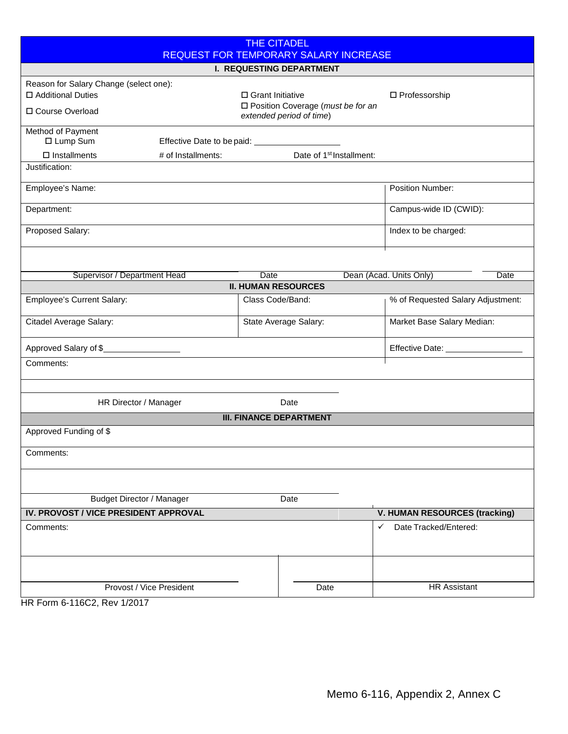<span id="page-12-0"></span>

| <b>THE CITADEL</b><br><b>REQUEST FOR TEMPORARY SALARY INCREASE</b> |                                               |                    |                                                                         |   |                                      |  |  |
|--------------------------------------------------------------------|-----------------------------------------------|--------------------|-------------------------------------------------------------------------|---|--------------------------------------|--|--|
| <b>I. REQUESTING DEPARTMENT</b>                                    |                                               |                    |                                                                         |   |                                      |  |  |
| Reason for Salary Change (select one):                             |                                               |                    |                                                                         |   |                                      |  |  |
| □ Additional Duties                                                |                                               | □ Grant Initiative |                                                                         |   | □ Professorship                      |  |  |
| □ Course Overload                                                  |                                               |                    | $\square$ Position Coverage (must be for an<br>extended period of time) |   |                                      |  |  |
| Method of Payment<br>□ Lump Sum                                    | Effective Date to be paid: __________________ |                    |                                                                         |   |                                      |  |  |
| $\square$ Installments                                             | # of Installments:                            |                    | Date of 1 <sup>st</sup> Installment:                                    |   |                                      |  |  |
| Justification:                                                     |                                               |                    |                                                                         |   |                                      |  |  |
| Employee's Name:                                                   |                                               |                    |                                                                         |   | <b>Position Number:</b>              |  |  |
| Department:                                                        |                                               |                    |                                                                         |   | Campus-wide ID (CWID):               |  |  |
| Proposed Salary:                                                   |                                               |                    |                                                                         |   | Index to be charged:                 |  |  |
|                                                                    |                                               |                    |                                                                         |   |                                      |  |  |
| Supervisor / Department Head                                       |                                               | <b>Date</b>        |                                                                         |   | Dean (Acad. Units Only)<br>Date      |  |  |
|                                                                    |                                               |                    | <b>II. HUMAN RESOURCES</b>                                              |   |                                      |  |  |
| <b>Employee's Current Salary:</b>                                  |                                               | Class Code/Band:   |                                                                         |   | % of Requested Salary Adjustment:    |  |  |
| Citadel Average Salary:                                            |                                               |                    | State Average Salary:                                                   |   | Market Base Salary Median:           |  |  |
| Approved Salary of \$                                              |                                               |                    |                                                                         |   | Effective Date: _____________        |  |  |
| Comments:                                                          |                                               |                    |                                                                         |   |                                      |  |  |
|                                                                    |                                               |                    |                                                                         |   |                                      |  |  |
| HR Director / Manager                                              |                                               |                    | Date                                                                    |   |                                      |  |  |
|                                                                    |                                               |                    | <b>III. FINANCE DEPARTMENT</b>                                          |   |                                      |  |  |
| Approved Funding of \$                                             |                                               |                    |                                                                         |   |                                      |  |  |
| Comments:                                                          |                                               |                    |                                                                         |   |                                      |  |  |
|                                                                    |                                               |                    |                                                                         |   |                                      |  |  |
| <b>Budget Director / Manager</b>                                   |                                               |                    | Date                                                                    |   |                                      |  |  |
| IV. PROVOST / VICE PRESIDENT APPROVAL                              |                                               |                    |                                                                         |   | <b>V. HUMAN RESOURCES (tracking)</b> |  |  |
| Comments:                                                          |                                               |                    |                                                                         | ✓ | Date Tracked/Entered:                |  |  |
|                                                                    |                                               |                    |                                                                         |   |                                      |  |  |
| Provost / Vice President                                           |                                               |                    | Date                                                                    |   | <b>HR Assistant</b>                  |  |  |

HR Form 6-116C2, Rev 1/2017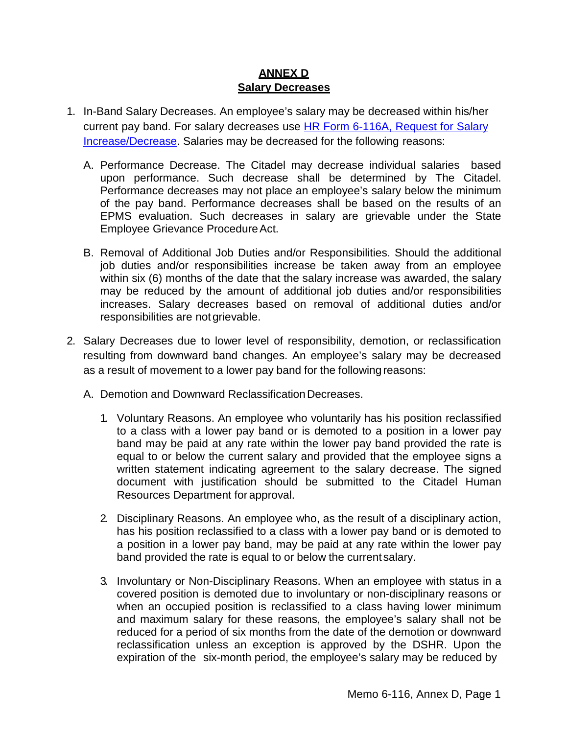# **ANNEX D Salary Decreases**

- <span id="page-13-0"></span>1. In-Band Salary Decreases. An employee's salary may be decreased within his/her current pay band. For salary decreases use [HR Form 6-116A, Request for Salary](http://www.citadel.edu/root/images/human_resources/forms/reqpayincdecr.pdf) [Increase/Decrease.](http://www.citadel.edu/root/images/human_resources/forms/reqpayincdecr.pdf) Salaries may be decreased for the following reasons:
	- A. Performance Decrease. The Citadel may decrease individual salaries based upon performance. Such decrease shall be determined by The Citadel. Performance decreases may not place an employee's salary below the minimum of the pay band. Performance decreases shall be based on the results of an EPMS evaluation. Such decreases in salary are grievable under the State Employee Grievance Procedure Act.
	- B. Removal of Additional Job Duties and/or Responsibilities. Should the additional job duties and/or responsibilities increase be taken away from an employee within six (6) months of the date that the salary increase was awarded, the salary may be reduced by the amount of additional job duties and/or responsibilities increases. Salary decreases based on removal of additional duties and/or responsibilities are not grievable.
- 2. Salary Decreases due to lower level of responsibility, demotion, or reclassification resulting from downward band changes. An employee's salary may be decreased as a result of movement to a lower pay band for the following reasons:
	- A. Demotion and Downward Reclassification Decreases.
		- 1. Voluntary Reasons. An employee who voluntarily has his position reclassified to a class with a lower pay band or is demoted to a position in a lower pay band may be paid at any rate within the lower pay band provided the rate is equal to or below the current salary and provided that the employee signs a written statement indicating agreement to the salary decrease. The signed document with justification should be submitted to the Citadel Human Resources Department for approval.
		- 2. Disciplinary Reasons. An employee who, as the result of a disciplinary action, has his position reclassified to a class with a lower pay band or is demoted to a position in a lower pay band, may be paid at any rate within the lower pay band provided the rate is equal to or below the current salary.
		- 3. Involuntary or Non-Disciplinary Reasons. When an employee with status in a covered position is demoted due to involuntary or non-disciplinary reasons or when an occupied position is reclassified to a class having lower minimum and maximum salary for these reasons, the employee's salary shall not be reduced for a period of six months from the date of the demotion or downward reclassification unless an exception is approved by the DSHR. Upon the expiration of the six-month period, the employee's salary may be reduced by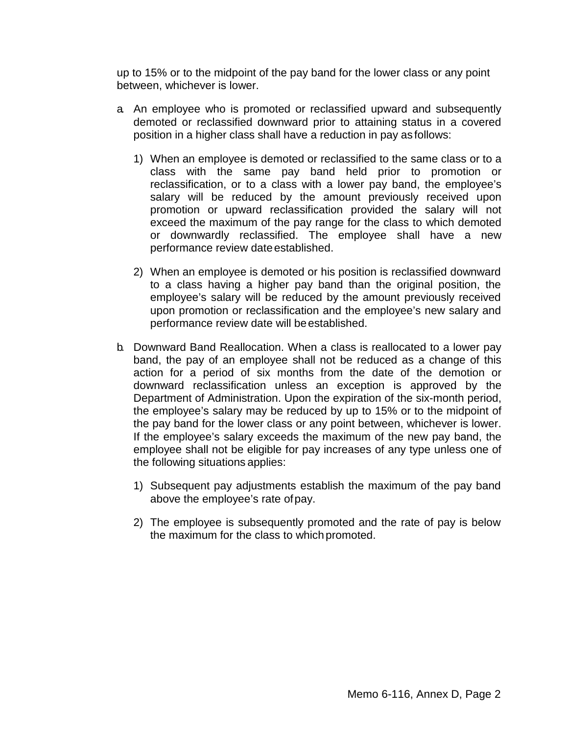up to 15% or to the midpoint of the pay band for the lower class or any point between, whichever is lower.

- a. An employee who is promoted or reclassified upward and subsequently demoted or reclassified downward prior to attaining status in a covered position in a higher class shall have a reduction in pay as follows:
	- 1) When an employee is demoted or reclassified to the same class or to a class with the same pay band held prior to promotion or reclassification, or to a class with a lower pay band, the employee's salary will be reduced by the amount previously received upon promotion or upward reclassification provided the salary will not exceed the maximum of the pay range for the class to which demoted or downwardly reclassified. The employee shall have a new performance review date established.
	- 2) When an employee is demoted or his position is reclassified downward to a class having a higher pay band than the original position, the employee's salary will be reduced by the amount previously received upon promotion or reclassification and the employee's new salary and performance review date will beestablished.
- b. Downward Band Reallocation. When a class is reallocated to a lower pay band, the pay of an employee shall not be reduced as a change of this action for a period of six months from the date of the demotion or downward reclassification unless an exception is approved by the Department of Administration. Upon the expiration of the six-month period, the employee's salary may be reduced by up to 15% or to the midpoint of the pay band for the lower class or any point between, whichever is lower. If the employee's salary exceeds the maximum of the new pay band, the employee shall not be eligible for pay increases of any type unless one of the following situations applies:
	- 1) Subsequent pay adjustments establish the maximum of the pay band above the employee's rate of pay.
	- 2) The employee is subsequently promoted and the rate of pay is below the maximum for the class to which promoted.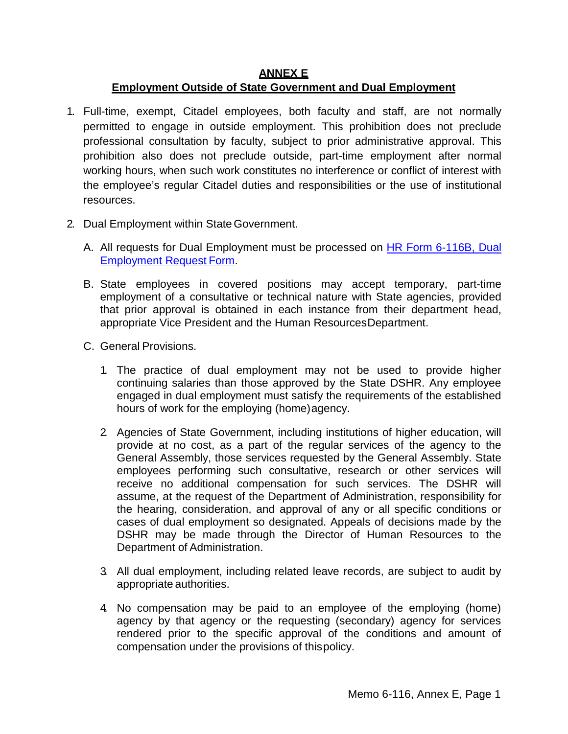## **ANNEX E**

### **Employment Outside of State Government and Dual Employment**

- <span id="page-15-0"></span>1. Full-time, exempt, Citadel employees, both faculty and staff, are not normally permitted to engage in outside employment. This prohibition does not preclude professional consultation by faculty, subject to prior administrative approval. This prohibition also does not preclude outside, part-time employment after normal working hours, when such work constitutes no interference or conflict of interest with the employee's regular Citadel duties and responsibilities or the use of institutional resources.
- 2. Dual Employment within StateGovernment.
	- A. All requests for Dual Employment must be processed on [HR Form 6-116B, Dual](http://www.citadel.edu/root/images/human_resources/forms/reqdulaemp.pdf) [Employment Request](http://www.citadel.edu/root/images/human_resources/forms/reqdulaemp.pdf) Form.
	- B. State employees in covered positions may accept temporary, part-time employment of a consultative or technical nature with State agencies, provided that prior approval is obtained in each instance from their department head, appropriate Vice President and the Human ResourcesDepartment.
	- C. General Provisions.
		- 1. The practice of dual employment may not be used to provide higher continuing salaries than those approved by the State DSHR. Any employee engaged in dual employment must satisfy the requirements of the established hours of work for the employing (home)agency.
		- 2. Agencies of State Government, including institutions of higher education, will provide at no cost, as a part of the regular services of the agency to the General Assembly, those services requested by the General Assembly. State employees performing such consultative, research or other services will receive no additional compensation for such services. The DSHR will assume, at the request of the Department of Administration, responsibility for the hearing, consideration, and approval of any or all specific conditions or cases of dual employment so designated. Appeals of decisions made by the DSHR may be made through the Director of Human Resources to the Department of Administration.
		- 3. All dual employment, including related leave records, are subject to audit by appropriate authorities.
		- 4. No compensation may be paid to an employee of the employing (home) agency by that agency or the requesting (secondary) agency for services rendered prior to the specific approval of the conditions and amount of compensation under the provisions of thispolicy.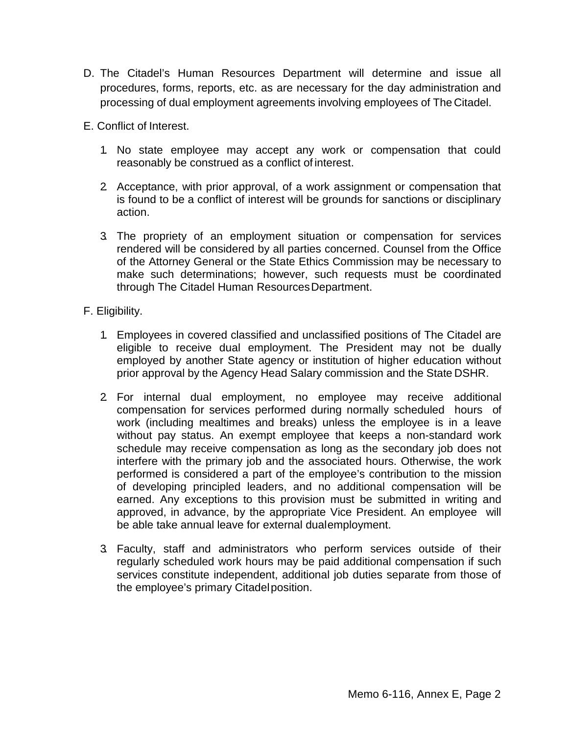- D. The Citadel's Human Resources Department will determine and issue all procedures, forms, reports, etc. as are necessary for the day administration and processing of dual employment agreements involving employees of The Citadel.
- E. Conflict of Interest.
	- 1. No state employee may accept any work or compensation that could reasonably be construed as a conflict of interest.
	- 2. Acceptance, with prior approval, of a work assignment or compensation that is found to be a conflict of interest will be grounds for sanctions or disciplinary action.
	- 3. The propriety of an employment situation or compensation for services rendered will be considered by all parties concerned. Counsel from the Office of the Attorney General or the State Ethics Commission may be necessary to make such determinations; however, such requests must be coordinated through The Citadel Human ResourcesDepartment.

### F. Eligibility.

- 1. Employees in covered classified and unclassified positions of The Citadel are eligible to receive dual employment. The President may not be dually employed by another State agency or institution of higher education without prior approval by the Agency Head Salary commission and the State DSHR.
- 2. For internal dual employment, no employee may receive additional compensation for services performed during normally scheduled hours of work (including mealtimes and breaks) unless the employee is in a leave without pay status. An exempt employee that keeps a non-standard work schedule may receive compensation as long as the secondary job does not interfere with the primary job and the associated hours. Otherwise, the work performed is considered a part of the employee's contribution to the mission of developing principled leaders, and no additional compensation will be earned. Any exceptions to this provision must be submitted in writing and approved, in advance, by the appropriate Vice President. An employee will be able take annual leave for external dualemployment.
- 3. Faculty, staff and administrators who perform services outside of their regularly scheduled work hours may be paid additional compensation if such services constitute independent, additional job duties separate from those of the employee's primary Citadelposition.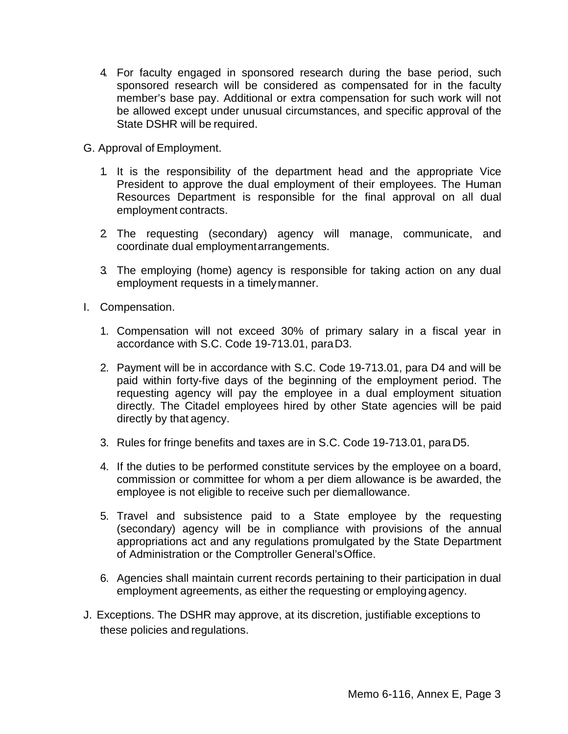- 4. For faculty engaged in sponsored research during the base period, such sponsored research will be considered as compensated for in the faculty member's base pay. Additional or extra compensation for such work will not be allowed except under unusual circumstances, and specific approval of the State DSHR will be required.
- G. Approval of Employment.
	- 1. It is the responsibility of the department head and the appropriate Vice President to approve the dual employment of their employees. The Human Resources Department is responsible for the final approval on all dual employment contracts.
	- 2. The requesting (secondary) agency will manage, communicate, and coordinate dual employmentarrangements.
	- 3. The employing (home) agency is responsible for taking action on any dual employment requests in a timelymanner.
- I. Compensation.
	- 1. Compensation will not exceed 30% of primary salary in a fiscal year in accordance with S.C. Code 19-713.01, paraD3.
	- 2. Payment will be in accordance with S.C. Code 19-713.01, para D4 and will be paid within forty-five days of the beginning of the employment period. The requesting agency will pay the employee in a dual employment situation directly. The Citadel employees hired by other State agencies will be paid directly by that agency.
	- 3. Rules for fringe benefits and taxes are in S.C. Code 19-713.01, paraD5.
	- 4. If the duties to be performed constitute services by the employee on a board, commission or committee for whom a per diem allowance is be awarded, the employee is not eligible to receive such per diemallowance.
	- 5. Travel and subsistence paid to a State employee by the requesting (secondary) agency will be in compliance with provisions of the annual appropriations act and any regulations promulgated by the State Department of Administration or the Comptroller General'sOffice.
	- 6. Agencies shall maintain current records pertaining to their participation in dual employment agreements, as either the requesting or employing agency.
- J. Exceptions. The DSHR may approve, at its discretion, justifiable exceptions to these policies and regulations.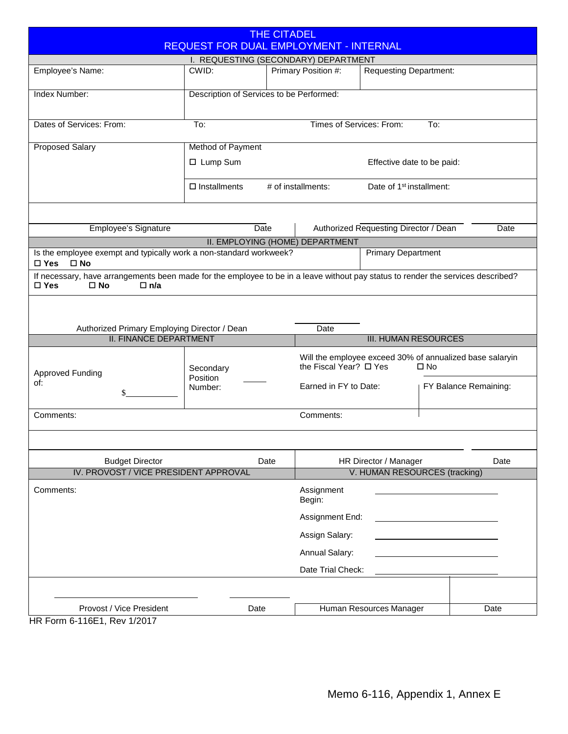<span id="page-18-0"></span>

| <b>THE CITADEL</b><br><b>REQUEST FOR DUAL EMPLOYMENT - INTERNAL</b>                                                                                                          |                                          |      |                                                                                    |                                       |              |                       |  |
|------------------------------------------------------------------------------------------------------------------------------------------------------------------------------|------------------------------------------|------|------------------------------------------------------------------------------------|---------------------------------------|--------------|-----------------------|--|
| I. REQUESTING (SECONDARY) DEPARTMENT                                                                                                                                         |                                          |      |                                                                                    |                                       |              |                       |  |
| Employee's Name:                                                                                                                                                             | CWID:                                    |      | Primary Position #:                                                                | <b>Requesting Department:</b>         |              |                       |  |
| Index Number:                                                                                                                                                                | Description of Services to be Performed: |      |                                                                                    |                                       |              |                       |  |
| Dates of Services: From:                                                                                                                                                     | To:                                      |      | Times of Services: From:                                                           |                                       | To:          |                       |  |
| <b>Proposed Salary</b>                                                                                                                                                       | Method of Payment                        |      |                                                                                    |                                       |              |                       |  |
|                                                                                                                                                                              | □ Lump Sum                               |      |                                                                                    | Effective date to be paid:            |              |                       |  |
|                                                                                                                                                                              | $\square$ Installments                   |      | # of installments:                                                                 | Date of 1 <sup>st</sup> installment:  |              |                       |  |
|                                                                                                                                                                              |                                          |      |                                                                                    |                                       |              |                       |  |
| Employee's Signature                                                                                                                                                         |                                          | Date |                                                                                    | Authorized Requesting Director / Dean |              | Date                  |  |
| Is the employee exempt and typically work a non-standard workweek?                                                                                                           |                                          |      | II. EMPLOYING (HOME) DEPARTMENT                                                    | <b>Primary Department</b>             |              |                       |  |
| $\square$ Yes<br>$\square$ No                                                                                                                                                |                                          |      |                                                                                    |                                       |              |                       |  |
| If necessary, have arrangements been made for the employee to be in a leave without pay status to render the services described?<br>$\Box$ Yes<br>$\square$ No<br>$\Box$ n/a |                                          |      |                                                                                    |                                       |              |                       |  |
|                                                                                                                                                                              |                                          |      |                                                                                    |                                       |              |                       |  |
|                                                                                                                                                                              |                                          |      |                                                                                    |                                       |              |                       |  |
|                                                                                                                                                                              |                                          |      |                                                                                    |                                       |              |                       |  |
| Authorized Primary Employing Director / Dean                                                                                                                                 |                                          |      | Date                                                                               |                                       |              |                       |  |
| <b>II. FINANCE DEPARTMENT</b>                                                                                                                                                |                                          |      |                                                                                    | <b>III. HUMAN RESOURCES</b>           |              |                       |  |
|                                                                                                                                                                              | Secondary                                |      | Will the employee exceed 30% of annualized base salaryin<br>the Fiscal Year? □ Yes |                                       | $\square$ No |                       |  |
| <b>Approved Funding</b><br>of:                                                                                                                                               | Position<br>Number:                      |      | Earned in FY to Date:                                                              |                                       |              | FY Balance Remaining: |  |
| Comments:                                                                                                                                                                    |                                          |      | Comments:                                                                          |                                       |              |                       |  |
|                                                                                                                                                                              |                                          |      |                                                                                    |                                       |              |                       |  |
| <b>Budget Director</b>                                                                                                                                                       |                                          | Date |                                                                                    | HR Director / Manager                 |              | Date                  |  |
| IV. PROVOST / VICE PRESIDENT APPROVAL                                                                                                                                        |                                          |      |                                                                                    | V. HUMAN RESOURCES (tracking)         |              |                       |  |
| Comments:                                                                                                                                                                    |                                          |      | Assignment<br>Begin:                                                               |                                       |              |                       |  |
|                                                                                                                                                                              |                                          |      | Assignment End:                                                                    |                                       |              |                       |  |
|                                                                                                                                                                              |                                          |      | Assign Salary:                                                                     |                                       |              |                       |  |
|                                                                                                                                                                              |                                          |      | Annual Salary:                                                                     |                                       |              |                       |  |
|                                                                                                                                                                              |                                          |      | Date Trial Check:                                                                  |                                       |              |                       |  |
|                                                                                                                                                                              |                                          |      |                                                                                    |                                       |              |                       |  |

HR Form 6-116E1, Rev 1/2017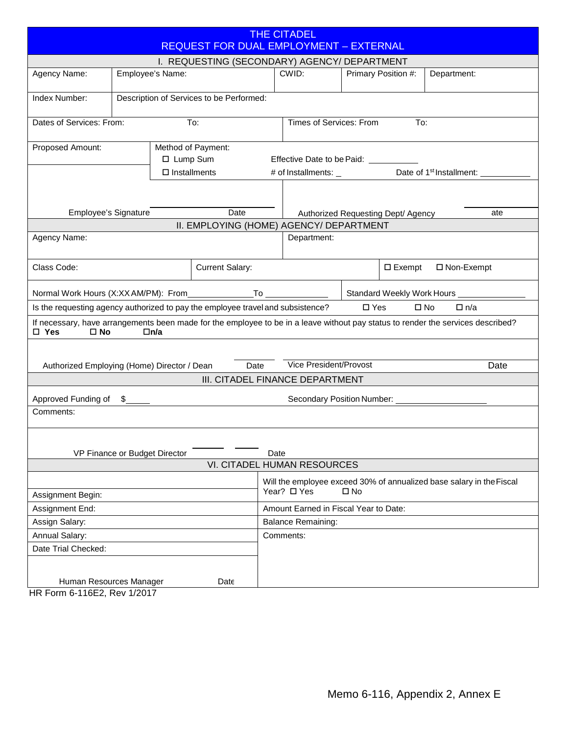<span id="page-19-0"></span>

| <b>THE CITADEL</b><br><b>REQUEST FOR DUAL EMPLOYMENT - EXTERNAL</b>             |                  |                        |                                         |                                       |                                        |                                  |                                                                      |                                                                                                                                  |  |  |
|---------------------------------------------------------------------------------|------------------|------------------------|-----------------------------------------|---------------------------------------|----------------------------------------|----------------------------------|----------------------------------------------------------------------|----------------------------------------------------------------------------------------------------------------------------------|--|--|
| I. REQUESTING (SECONDARY) AGENCY/ DEPARTMENT                                    |                  |                        |                                         |                                       |                                        |                                  |                                                                      |                                                                                                                                  |  |  |
| Agency Name:                                                                    | Employee's Name: |                        |                                         | CWID:                                 |                                        | Primary Position #:              |                                                                      | Department:                                                                                                                      |  |  |
| Index Number:<br>Description of Services to be Performed:                       |                  |                        |                                         |                                       |                                        |                                  |                                                                      |                                                                                                                                  |  |  |
| Dates of Services: From:<br>To:                                                 |                  |                        |                                         | Times of Services: From<br>To:        |                                        |                                  |                                                                      |                                                                                                                                  |  |  |
| Method of Payment:<br>Proposed Amount:<br>□ Lump Sum                            |                  |                        |                                         | Effective Date to be Paid: __________ |                                        |                                  |                                                                      |                                                                                                                                  |  |  |
|                                                                                 |                  | $\square$ Installments |                                         |                                       | # of Installments: _                   |                                  |                                                                      | Date of 1 <sup>st</sup> Installment: _                                                                                           |  |  |
|                                                                                 |                  |                        |                                         |                                       |                                        |                                  |                                                                      |                                                                                                                                  |  |  |
| Employee's Signature                                                            |                  |                        | Date                                    |                                       | Authorized Requesting Dept/ Agency     |                                  |                                                                      | ate                                                                                                                              |  |  |
|                                                                                 |                  |                        | II. EMPLOYING (HOME) AGENCY/ DEPARTMENT |                                       |                                        |                                  |                                                                      |                                                                                                                                  |  |  |
| Agency Name:                                                                    |                  |                        |                                         | Department:                           |                                        |                                  |                                                                      |                                                                                                                                  |  |  |
| Class Code:                                                                     |                  |                        | <b>Current Salary:</b>                  |                                       |                                        | $\square$ Exempt<br>□ Non-Exempt |                                                                      |                                                                                                                                  |  |  |
| Normal Work Hours (X:XX AM/PM): From                                            |                  |                        |                                         | Standard Weekly Work Hours _          |                                        |                                  |                                                                      |                                                                                                                                  |  |  |
| Is the requesting agency authorized to pay the employee travel and subsistence? |                  |                        |                                         |                                       |                                        | $\square$ Yes                    | $\square$ No                                                         | $\Box$ n/a                                                                                                                       |  |  |
| $\square$ Yes<br>$\square$ No                                                   |                  | $\Box$ n/a             |                                         |                                       |                                        |                                  |                                                                      | If necessary, have arrangements been made for the employee to be in a leave without pay status to render the services described? |  |  |
|                                                                                 |                  |                        |                                         |                                       |                                        |                                  |                                                                      |                                                                                                                                  |  |  |
| Authorized Employing (Home) Director / Dean                                     |                  |                        | Date                                    |                                       | Vice President/Provost                 |                                  |                                                                      | Date                                                                                                                             |  |  |
|                                                                                 |                  |                        | III. CITADEL FINANCE DEPARTMENT         |                                       |                                        |                                  |                                                                      |                                                                                                                                  |  |  |
| Approved Funding of<br>S.                                                       |                  |                        |                                         |                                       | Secondary Position Number: ___________ |                                  |                                                                      |                                                                                                                                  |  |  |
| Comments:                                                                       |                  |                        |                                         |                                       |                                        |                                  |                                                                      |                                                                                                                                  |  |  |
|                                                                                 |                  |                        |                                         |                                       |                                        |                                  |                                                                      |                                                                                                                                  |  |  |
| VP Finance or Budget Director<br>Date<br>VI. CITADEL HUMAN RESOURCES            |                  |                        |                                         |                                       |                                        |                                  |                                                                      |                                                                                                                                  |  |  |
| Year? □ Yes<br>Assignment Begin:                                                |                  |                        |                                         |                                       | □ No                                   |                                  | Will the employee exceed 30% of annualized base salary in the Fiscal |                                                                                                                                  |  |  |
| Assignment End:                                                                 |                  |                        |                                         | Amount Earned in Fiscal Year to Date: |                                        |                                  |                                                                      |                                                                                                                                  |  |  |
| Assign Salary:                                                                  |                  |                        |                                         | <b>Balance Remaining:</b>             |                                        |                                  |                                                                      |                                                                                                                                  |  |  |
| Annual Salary:                                                                  |                  |                        |                                         | Comments:                             |                                        |                                  |                                                                      |                                                                                                                                  |  |  |
| Date Trial Checked:                                                             |                  |                        |                                         |                                       |                                        |                                  |                                                                      |                                                                                                                                  |  |  |
|                                                                                 |                  |                        |                                         |                                       |                                        |                                  |                                                                      |                                                                                                                                  |  |  |
| Human Resources Manager<br>Date<br>LD Form 6 116F2 $D_{01}$ 1/2017              |                  |                        |                                         |                                       |                                        |                                  |                                                                      |                                                                                                                                  |  |  |

HR Form 6-116E2, Rev 1/2017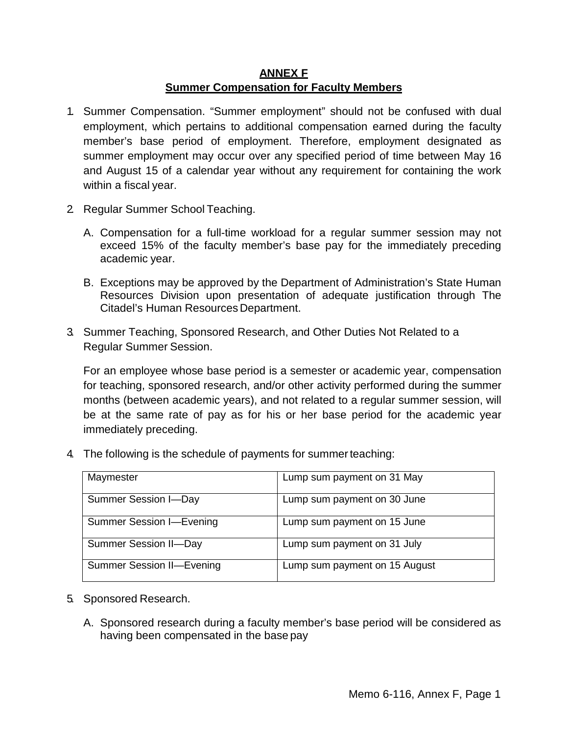## **ANNEX F Summer Compensation for Faculty Members**

- <span id="page-20-0"></span>1. Summer Compensation. "Summer employment" should not be confused with dual employment, which pertains to additional compensation earned during the faculty member's base period of employment. Therefore, employment designated as summer employment may occur over any specified period of time between May 16 and August 15 of a calendar year without any requirement for containing the work within a fiscal year.
- 2. Regular Summer School Teaching.
	- A. Compensation for a full-time workload for a regular summer session may not exceed 15% of the faculty member's base pay for the immediately preceding academic year.
	- B. Exceptions may be approved by the Department of Administration's State Human Resources Division upon presentation of adequate justification through The Citadel's Human Resources Department.
- 3. Summer Teaching, Sponsored Research, and Other Duties Not Related to a Regular Summer Session.

For an employee whose base period is a semester or academic year, compensation for teaching, sponsored research, and/or other activity performed during the summer months (between academic years), and not related to a regular summer session, will be at the same rate of pay as for his or her base period for the academic year immediately preceding.

4. The following is the schedule of payments for summerteaching:

| Maymester                        | Lump sum payment on 31 May    |
|----------------------------------|-------------------------------|
| <b>Summer Session I-Day</b>      | Lump sum payment on 30 June   |
| <b>Summer Session I-Evening</b>  | Lump sum payment on 15 June   |
| <b>Summer Session II-Day</b>     | Lump sum payment on 31 July   |
| <b>Summer Session II-Evening</b> | Lump sum payment on 15 August |

- 5. Sponsored Research.
	- A. Sponsored research during a faculty member's base period will be considered as having been compensated in the base pay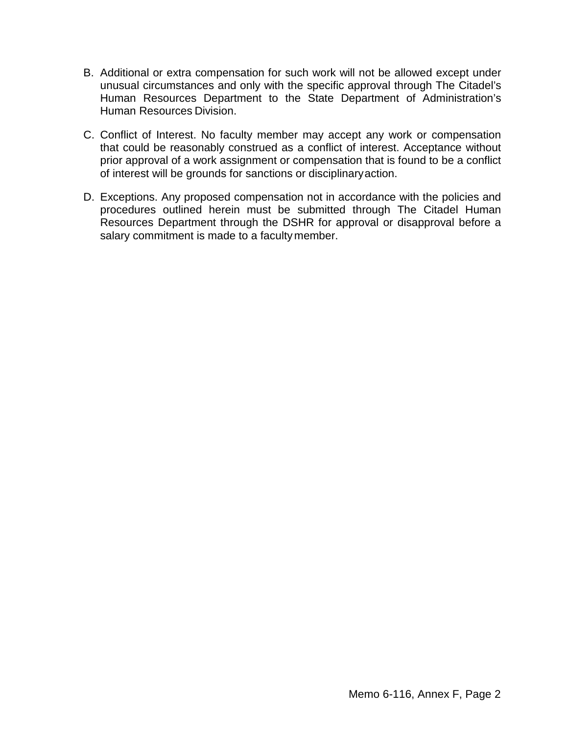- B. Additional or extra compensation for such work will not be allowed except under unusual circumstances and only with the specific approval through The Citadel's Human Resources Department to the State Department of Administration's Human Resources Division.
- C. Conflict of Interest. No faculty member may accept any work or compensation that could be reasonably construed as a conflict of interest. Acceptance without prior approval of a work assignment or compensation that is found to be a conflict of interest will be grounds for sanctions or disciplinaryaction.
- D. Exceptions. Any proposed compensation not in accordance with the policies and procedures outlined herein must be submitted through The Citadel Human Resources Department through the DSHR for approval or disapproval before a salary commitment is made to a faculty member.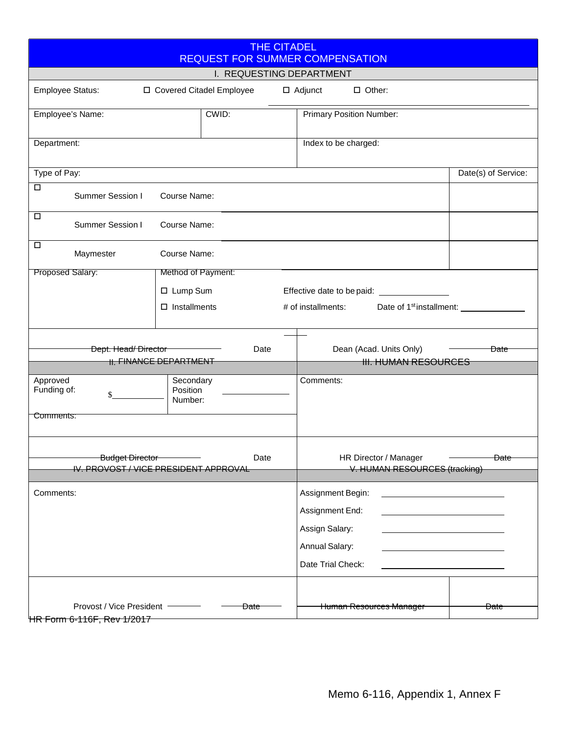<span id="page-22-0"></span>

| <b>THE CITADEL</b><br><b>REQUEST FOR SUMMER COMPENSATION</b>                      |                                                                           |  |  |  |  |  |  |
|-----------------------------------------------------------------------------------|---------------------------------------------------------------------------|--|--|--|--|--|--|
| I. REQUESTING DEPARTMENT                                                          |                                                                           |  |  |  |  |  |  |
| $\Box$ Other:<br>Employee Status:<br>□ Covered Citadel Employee<br>$\Box$ Adjunct |                                                                           |  |  |  |  |  |  |
| CWID:<br>Employee's Name:                                                         | Primary Position Number:                                                  |  |  |  |  |  |  |
| Department:                                                                       | Index to be charged:                                                      |  |  |  |  |  |  |
| Type of Pay:                                                                      | Date(s) of Service:                                                       |  |  |  |  |  |  |
| □<br>Summer Session I<br>Course Name:                                             |                                                                           |  |  |  |  |  |  |
| $\Box$<br>Summer Session I<br>Course Name:                                        |                                                                           |  |  |  |  |  |  |
| $\Box$<br>Maymester<br>Course Name:                                               |                                                                           |  |  |  |  |  |  |
| Proposed Salary:<br>Method of Payment:                                            |                                                                           |  |  |  |  |  |  |
| □ Lump Sum                                                                        | Effective date to be paid:<br><u>Effective</u> date to be paid:           |  |  |  |  |  |  |
| $\Box$ Installments                                                               | # of installments:<br>Date of 1 <sup>st</sup> installment: ____           |  |  |  |  |  |  |
|                                                                                   |                                                                           |  |  |  |  |  |  |
| Dept. Head/Director<br>Date<br><b>II. FINANCE DEPARTMENT</b>                      | Dean (Acad. Units Only)<br><del>Date</del><br><b>III. HUMAN RESOURCES</b> |  |  |  |  |  |  |
|                                                                                   |                                                                           |  |  |  |  |  |  |
| Approved<br>Secondary<br>Position<br>Funding of:                                  | Comments:                                                                 |  |  |  |  |  |  |
| Number:                                                                           |                                                                           |  |  |  |  |  |  |
| Comments:                                                                         |                                                                           |  |  |  |  |  |  |
|                                                                                   |                                                                           |  |  |  |  |  |  |
| Budget Director<br>Date                                                           | HR Director / Manager<br><del>Date</del>                                  |  |  |  |  |  |  |
| IV. PROVOST / VICE PRESIDENT APPROVAL                                             | V. HUMAN RESOURCES (tracking)                                             |  |  |  |  |  |  |
| Comments:                                                                         | Assignment Begin:                                                         |  |  |  |  |  |  |
|                                                                                   | Assignment End:                                                           |  |  |  |  |  |  |
|                                                                                   | Assign Salary:                                                            |  |  |  |  |  |  |
|                                                                                   | Annual Salary:                                                            |  |  |  |  |  |  |
|                                                                                   | Date Trial Check:                                                         |  |  |  |  |  |  |
|                                                                                   |                                                                           |  |  |  |  |  |  |
| Provost / Vice President<br><del>Date</del><br>HR Form 6-116F Rev 1/2017          | Human Resources Manager<br><del>Date</del>                                |  |  |  |  |  |  |

HR Form 6-116F, Rev 1/2017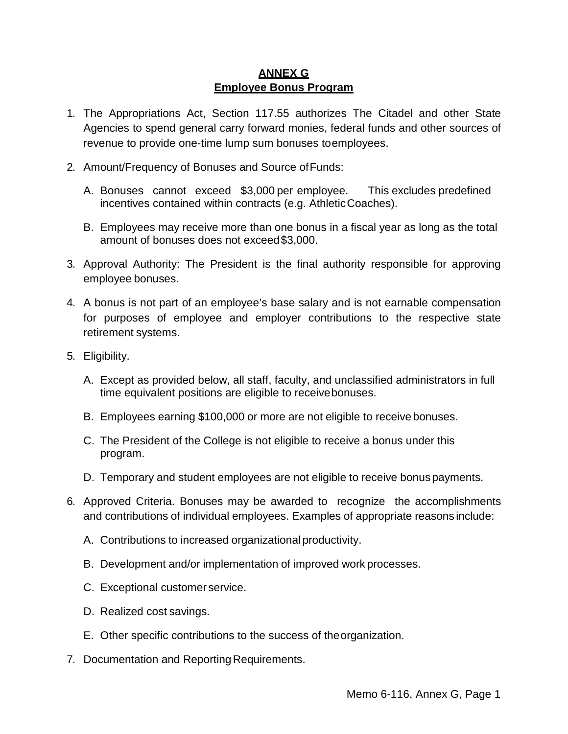# **ANNEX G Employee Bonus Program**

- <span id="page-23-0"></span>1. The Appropriations Act, Section 117.55 authorizes The Citadel and other State Agencies to spend general carry forward monies, federal funds and other sources of revenue to provide one-time lump sum bonuses toemployees.
- 2. Amount/Frequency of Bonuses and Source ofFunds:
	- A. Bonuses cannot exceed \$3,000 per employee. This excludes predefined incentives contained within contracts (e.g. AthleticCoaches).
	- B. Employees may receive more than one bonus in a fiscal year as long as the total amount of bonuses does not exceed\$3,000.
- 3. Approval Authority: The President is the final authority responsible for approving employee bonuses.
- 4. A bonus is not part of an employee's base salary and is not earnable compensation for purposes of employee and employer contributions to the respective state retirement systems.
- 5. Eligibility.
	- A. Except as provided below, all staff, faculty, and unclassified administrators in full time equivalent positions are eligible to receivebonuses.
	- B. Employees earning \$100,000 or more are not eligible to receive bonuses.
	- C. The President of the College is not eligible to receive a bonus under this program.
	- D. Temporary and student employees are not eligible to receive bonuspayments.
- 6. Approved Criteria. Bonuses may be awarded to recognize the accomplishments and contributions of individual employees. Examples of appropriate reasons include:
	- A. Contributions to increased organizational productivity.
	- B. Development and/or implementation of improved work processes.
	- C. Exceptional customer service.
	- D. Realized cost savings.
	- E. Other specific contributions to the success of theorganization.
- 7. Documentation and Reporting Requirements.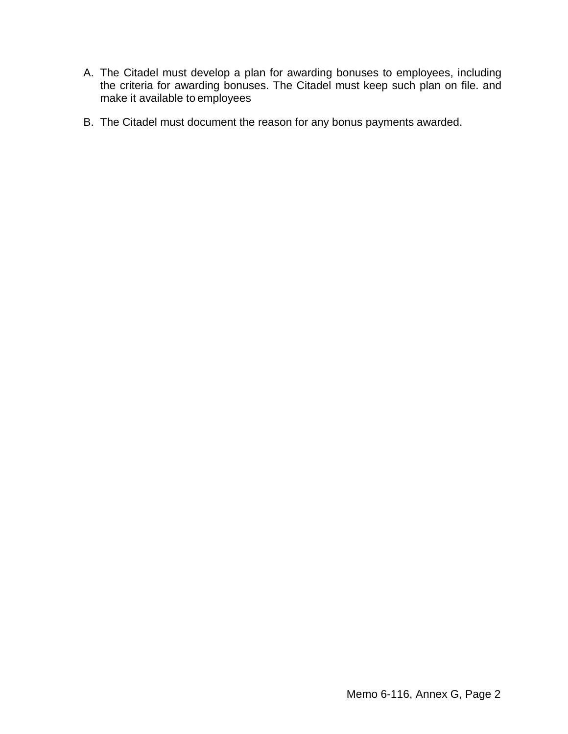- A. The Citadel must develop a plan for awarding bonuses to employees, including the criteria for awarding bonuses. The Citadel must keep such plan on file. and make it available to employees
- B. The Citadel must document the reason for any bonus payments awarded.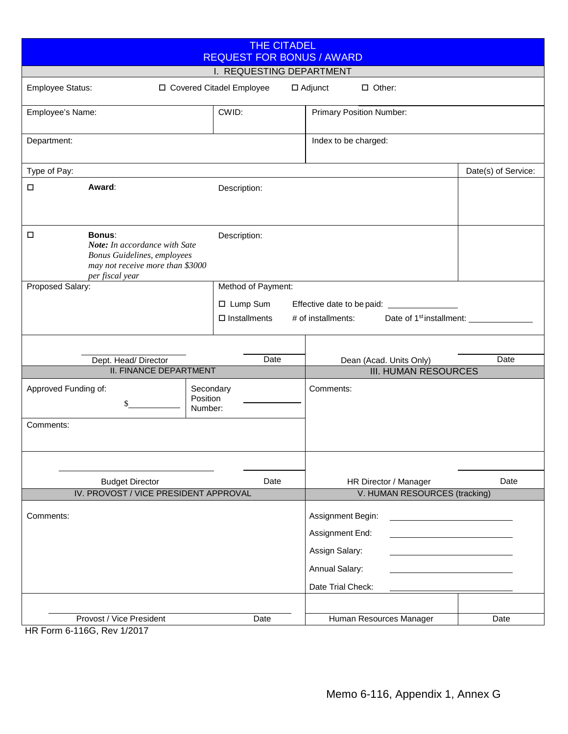<span id="page-25-0"></span>

| <b>THE CITADEL</b><br><b>REQUEST FOR BONUS / AWARD</b>                                                                                         |                                  |                                 |                                                                                               |                     |  |  |  |
|------------------------------------------------------------------------------------------------------------------------------------------------|----------------------------------|---------------------------------|-----------------------------------------------------------------------------------------------|---------------------|--|--|--|
| I. REQUESTING DEPARTMENT                                                                                                                       |                                  |                                 |                                                                                               |                     |  |  |  |
| <b>Employee Status:</b>                                                                                                                        | □ Covered Citadel Employee       |                                 | $\Box$ Other:<br>$\Box$ Adjunct                                                               |                     |  |  |  |
| Employee's Name:                                                                                                                               | CWID:                            | <b>Primary Position Number:</b> |                                                                                               |                     |  |  |  |
| Department:                                                                                                                                    |                                  |                                 | Index to be charged:                                                                          |                     |  |  |  |
| Type of Pay:                                                                                                                                   |                                  |                                 |                                                                                               | Date(s) of Service: |  |  |  |
| Award:<br>□                                                                                                                                    |                                  | Description:                    |                                                                                               |                     |  |  |  |
| <b>Bonus:</b><br>$\Box$<br>Note: In accordance with Sate<br>Bonus Guidelines, employees<br>may not receive more than \$3000<br>per fiscal year |                                  | Description:                    |                                                                                               |                     |  |  |  |
| Proposed Salary:                                                                                                                               |                                  | Method of Payment:              |                                                                                               |                     |  |  |  |
|                                                                                                                                                |                                  | □ Lump Sum                      | Effective date to be paid:<br><u>Effective</u> date to be paid:                               |                     |  |  |  |
|                                                                                                                                                |                                  | $\Box$ Installments             | # of installments:<br>Date of 1 <sup>st</sup> installment: ______                             |                     |  |  |  |
|                                                                                                                                                |                                  |                                 |                                                                                               |                     |  |  |  |
| Dept. Head/Director                                                                                                                            |                                  | Date                            | Dean (Acad. Units Only)                                                                       | Date                |  |  |  |
| <b>II. FINANCE DEPARTMENT</b>                                                                                                                  |                                  |                                 | <b>III. HUMAN RESOURCES</b>                                                                   |                     |  |  |  |
| Approved Funding of:<br>\$                                                                                                                     | Secondary<br>Position<br>Number: |                                 | Comments:                                                                                     |                     |  |  |  |
| Comments:                                                                                                                                      |                                  |                                 |                                                                                               |                     |  |  |  |
| <b>Budget Director</b>                                                                                                                         |                                  | Date                            | HR Director / Manager                                                                         | Date                |  |  |  |
| IV. PROVOST / VICE PRESIDENT APPROVAL                                                                                                          |                                  |                                 | V. HUMAN RESOURCES (tracking)                                                                 |                     |  |  |  |
| Comments:                                                                                                                                      |                                  |                                 | Assignment Begin:<br>Assignment End:<br>Assign Salary:<br>Annual Salary:<br>Date Trial Check: |                     |  |  |  |
| Provost / Vice President<br>$HD$ Form $6$ 1160 $D_{01}$ 1/2017                                                                                 |                                  | Date                            | Human Resources Manager                                                                       | Date                |  |  |  |

HR Form 6-116G, Rev 1/2017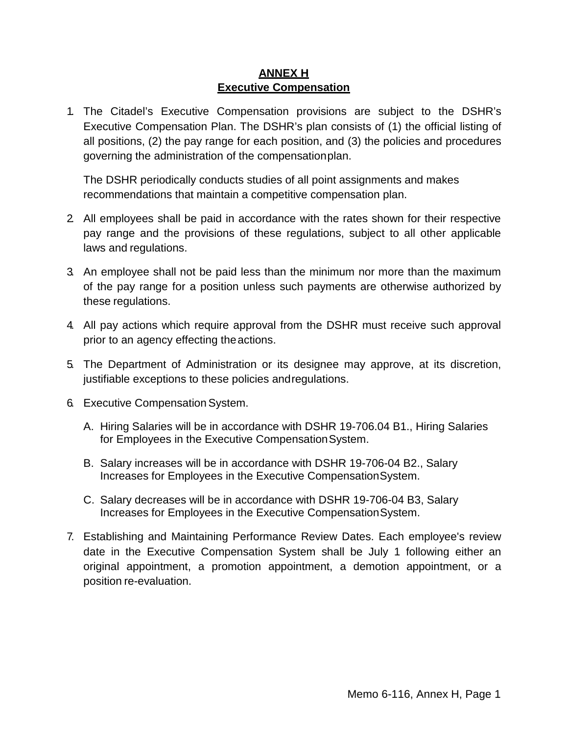# **ANNEX H Executive Compensation**

<span id="page-26-0"></span>1. The Citadel's Executive Compensation provisions are subject to the DSHR's Executive Compensation Plan. The DSHR's plan consists of (1) the official listing of all positions, (2) the pay range for each position, and (3) the policies and procedures governing the administration of the compensationplan.

The DSHR periodically conducts studies of all point assignments and makes recommendations that maintain a competitive compensation plan.

- 2. All employees shall be paid in accordance with the rates shown for their respective pay range and the provisions of these regulations, subject to all other applicable laws and regulations.
- 3. An employee shall not be paid less than the minimum nor more than the maximum of the pay range for a position unless such payments are otherwise authorized by these regulations.
- 4. All pay actions which require approval from the DSHR must receive such approval prior to an agency effecting theactions.
- 5. The Department of Administration or its designee may approve, at its discretion, justifiable exceptions to these policies andregulations.
- 6. Executive Compensation System.
	- A. Hiring Salaries will be in accordance with DSHR 19-706.04 B1., Hiring Salaries for Employees in the Executive CompensationSystem.
	- B. Salary increases will be in accordance with DSHR 19-706-04 B2., Salary Increases for Employees in the Executive CompensationSystem.
	- C. Salary decreases will be in accordance with DSHR 19-706-04 B3, Salary Increases for Employees in the Executive CompensationSystem.
- 7. Establishing and Maintaining Performance Review Dates. Each employee's review date in the Executive Compensation System shall be July 1 following either an original appointment, a promotion appointment, a demotion appointment, or a position re-evaluation.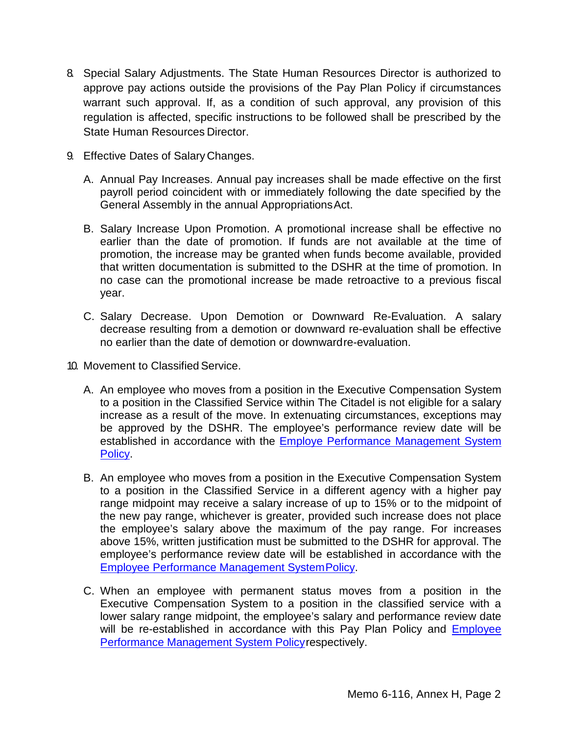- 8. Special Salary Adjustments. The State Human Resources Director is authorized to approve pay actions outside the provisions of the Pay Plan Policy if circumstances warrant such approval. If, as a condition of such approval, any provision of this regulation is affected, specific instructions to be followed shall be prescribed by the State Human Resources Director.
- 9. Effective Dates of SalaryChanges.
	- A. Annual Pay Increases. Annual pay increases shall be made effective on the first payroll period coincident with or immediately following the date specified by the General Assembly in the annual AppropriationsAct.
	- B. Salary Increase Upon Promotion. A promotional increase shall be effective no earlier than the date of promotion. If funds are not available at the time of promotion, the increase may be granted when funds become available, provided that written documentation is submitted to the DSHR at the time of promotion. In no case can the promotional increase be made retroactive to a previous fiscal year.
	- C. Salary Decrease. Upon Demotion or Downward Re-Evaluation. A salary decrease resulting from a demotion or downward re-evaluation shall be effective no earlier than the date of demotion or downwardre-evaluation.
- 10. Movement to Classified Service.
	- A. An employee who moves from a position in the Executive Compensation System to a position in the Classified Service within The Citadel is not eligible for a salary increase as a result of the move. In extenuating circumstances, exceptions may be approved by the DSHR. The employee's performance review date will be established in accordance with the **[Employe Performance Management System](http://www.citadel.edu/root/images/policies/6-111-employee-performance-management-system-policy.pdf)** [Policy.](http://www.citadel.edu/root/images/policies/6-111-employee-performance-management-system-policy.pdf)
	- B. An employee who moves from a position in the Executive Compensation System to a position in the Classified Service in a different agency with a higher pay range midpoint may receive a salary increase of up to 15% or to the midpoint of the new pay range, whichever is greater, provided such increase does not place the employee's salary above the maximum of the pay range. For increases above 15%, written justification must be submitted to the DSHR for approval. The employee's performance review date will be established in accordance with th[e](http://www.citadel.edu/root/images/policies/6-111-employee-performance-management-system-policy.pdf) [Employee Performance Management SystemPolicy.](http://www.citadel.edu/root/images/policies/6-111-employee-performance-management-system-policy.pdf)
	- C. When an employee with permanent status moves from a position in the Executive Compensation System to a position in the classified service with a lower salary range midpoint, the employee's salary and performance review date will be re-established in accordance with this Pay Plan Policy and [Employee](http://www.citadel.edu/root/images/policies/6-111-employee-performance-management-system-policy.pdf) [Performance Management System Policyr](http://www.citadel.edu/root/images/policies/6-111-employee-performance-management-system-policy.pdf)espectively.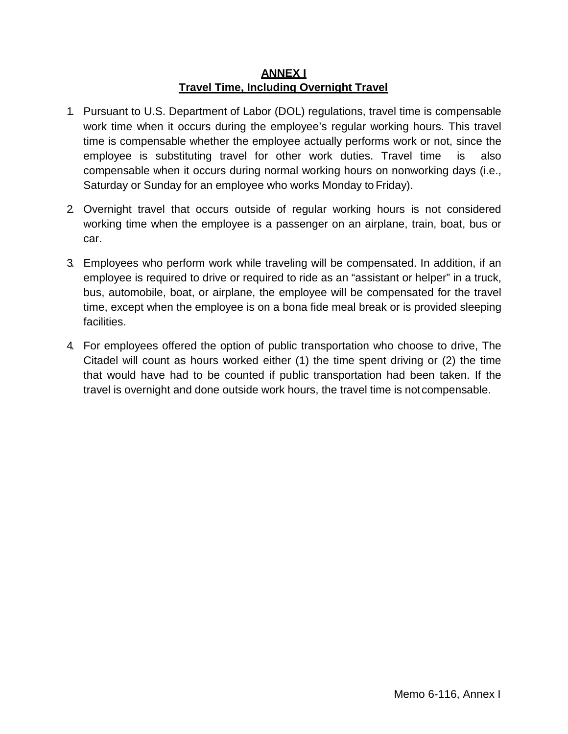## **ANNEX I Travel Time, Including Overnight Travel**

- <span id="page-28-0"></span>1. Pursuant to U.S. Department of Labor (DOL) regulations, travel time is compensable work time when it occurs during the employee's regular working hours. This travel time is compensable whether the employee actually performs work or not, since the employee is substituting travel for other work duties. Travel time is also compensable when it occurs during normal working hours on nonworking days (i.e., Saturday or Sunday for an employee who works Monday to Friday).
- 2. Overnight travel that occurs outside of regular working hours is not considered working time when the employee is a passenger on an airplane, train, boat, bus or car.
- 3. Employees who perform work while traveling will be compensated. In addition, if an employee is required to drive or required to ride as an "assistant or helper" in a truck, bus, automobile, boat, or airplane, the employee will be compensated for the travel time, except when the employee is on a bona fide meal break or is provided sleeping facilities.
- 4. For employees offered the option of public transportation who choose to drive, The Citadel will count as hours worked either (1) the time spent driving or (2) the time that would have had to be counted if public transportation had been taken. If the travel is overnight and done outside work hours, the travel time is notcompensable.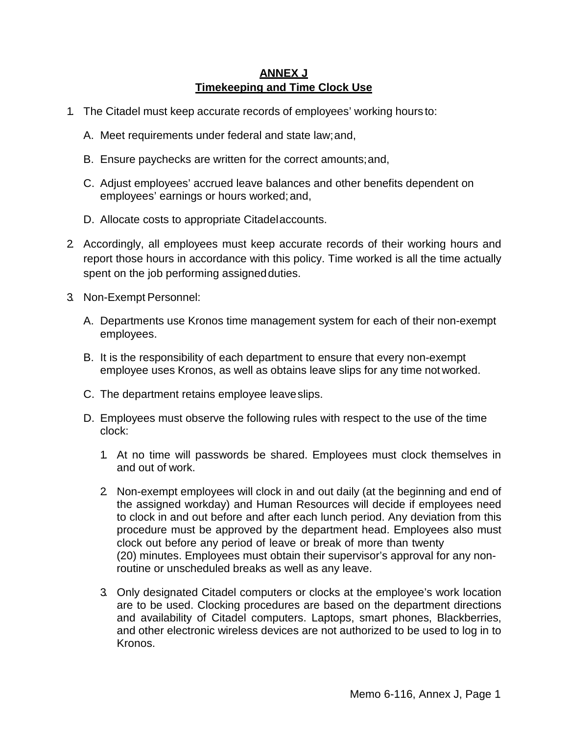# **ANNEX J Timekeeping and Time Clock Use**

- <span id="page-29-0"></span>1. The Citadel must keep accurate records of employees' working hours to:
	- A. Meet requirements under federal and state law;and,
	- B. Ensure paychecks are written for the correct amounts;and,
	- C. Adjust employees' accrued leave balances and other benefits dependent on employees' earnings or hours worked;and,
	- D. Allocate costs to appropriate Citadelaccounts.
- 2. Accordingly, all employees must keep accurate records of their working hours and report those hours in accordance with this policy. Time worked is all the time actually spent on the job performing assigned duties.
- 3. Non-Exempt Personnel:
	- A. Departments use Kronos time management system for each of their non-exempt employees.
	- B. It is the responsibility of each department to ensure that every non-exempt employee uses Kronos, as well as obtains leave slips for any time notworked.
	- C. The department retains employee leaveslips.
	- D. Employees must observe the following rules with respect to the use of the time clock:
		- 1. At no time will passwords be shared. Employees must clock themselves in and out of work.
		- 2. Non-exempt employees will clock in and out daily (at the beginning and end of the assigned workday) and Human Resources will decide if employees need to clock in and out before and after each lunch period. Any deviation from this procedure must be approved by the department head. Employees also must clock out before any period of leave or break of more than twenty (20) minutes. Employees must obtain their supervisor's approval for any nonroutine or unscheduled breaks as well as any leave.
		- 3. Only designated Citadel computers or clocks at the employee's work location are to be used. Clocking procedures are based on the department directions and availability of Citadel computers. Laptops, smart phones, Blackberries, and other electronic wireless devices are not authorized to be used to log in to Kronos.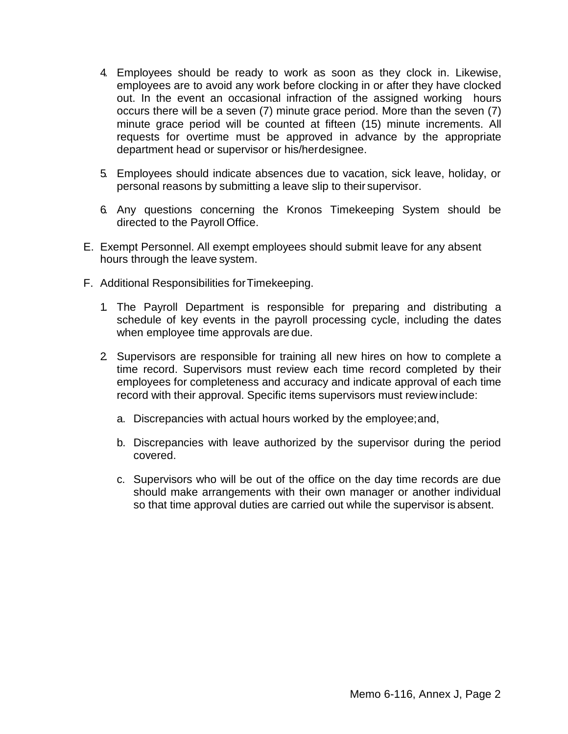- 4. Employees should be ready to work as soon as they clock in. Likewise, employees are to avoid any work before clocking in or after they have clocked out. In the event an occasional infraction of the assigned working hours occurs there will be a seven (7) minute grace period. More than the seven (7) minute grace period will be counted at fifteen (15) minute increments. All requests for overtime must be approved in advance by the appropriate department head or supervisor or his/herdesignee.
- 5. Employees should indicate absences due to vacation, sick leave, holiday, or personal reasons by submitting a leave slip to their supervisor.
- 6. Any questions concerning the Kronos Timekeeping System should be directed to the Payroll Office.
- E. Exempt Personnel. All exempt employees should submit leave for any absent hours through the leave system.
- F. Additional Responsibilities forTimekeeping.
	- 1. The Payroll Department is responsible for preparing and distributing a schedule of key events in the payroll processing cycle, including the dates when employee time approvals are due.
	- 2. Supervisors are responsible for training all new hires on how to complete a time record. Supervisors must review each time record completed by their employees for completeness and accuracy and indicate approval of each time record with their approval. Specific items supervisors must reviewinclude:
		- a. Discrepancies with actual hours worked by the employee;and,
		- b. Discrepancies with leave authorized by the supervisor during the period covered.
		- c. Supervisors who will be out of the office on the day time records are due should make arrangements with their own manager or another individual so that time approval duties are carried out while the supervisor is absent.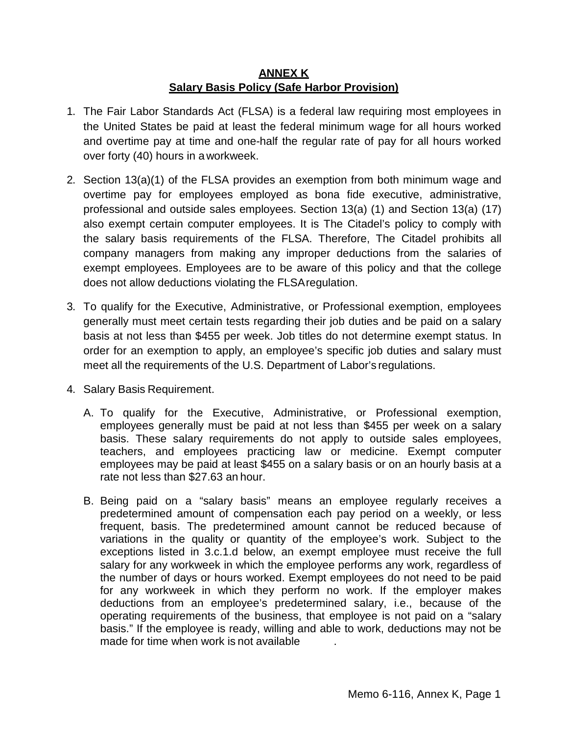## **ANNEX K Salary Basis Policy (Safe Harbor Provision)**

- <span id="page-31-0"></span>1. The Fair Labor Standards Act (FLSA) is a federal law requiring most employees in the United States be paid at least the federal minimum wage for all hours worked and overtime pay at time and one-half the regular rate of pay for all hours worked over forty (40) hours in aworkweek.
- 2. Section 13(a)(1) of the FLSA provides an exemption from both minimum wage and overtime pay for employees employed as bona fide executive, administrative, professional and outside sales employees. Section 13(a) (1) and Section 13(a) (17) also exempt certain computer employees. It is The Citadel's policy to comply with the salary basis requirements of the FLSA. Therefore, The Citadel prohibits all company managers from making any improper deductions from the salaries of exempt employees. Employees are to be aware of this policy and that the college does not allow deductions violating the FLSAregulation.
- 3. To qualify for the Executive, Administrative, or Professional exemption, employees generally must meet certain tests regarding their job duties and be paid on a salary basis at not less than \$455 per week. Job titles do not determine exempt status. In order for an exemption to apply, an employee's specific job duties and salary must meet all the requirements of the U.S. Department of Labor's regulations.
- 4. Salary Basis Requirement.
	- A. To qualify for the Executive, Administrative, or Professional exemption, employees generally must be paid at not less than \$455 per week on a salary basis. These salary requirements do not apply to outside sales employees, teachers, and employees practicing law or medicine. Exempt computer employees may be paid at least \$455 on a salary basis or on an hourly basis at a rate not less than \$27.63 an hour.
	- B. Being paid on a "salary basis" means an employee regularly receives a predetermined amount of compensation each pay period on a weekly, or less frequent, basis. The predetermined amount cannot be reduced because of variations in the quality or quantity of the employee's work. Subject to the exceptions listed in 3.c.1.d below, an exempt employee must receive the full salary for any workweek in which the employee performs any work, regardless of the number of days or hours worked. Exempt employees do not need to be paid for any workweek in which they perform no work. If the employer makes deductions from an employee's predetermined salary, i.e., because of the operating requirements of the business, that employee is not paid on a "salary basis." If the employee is ready, willing and able to work, deductions may not be made for time when work is not available